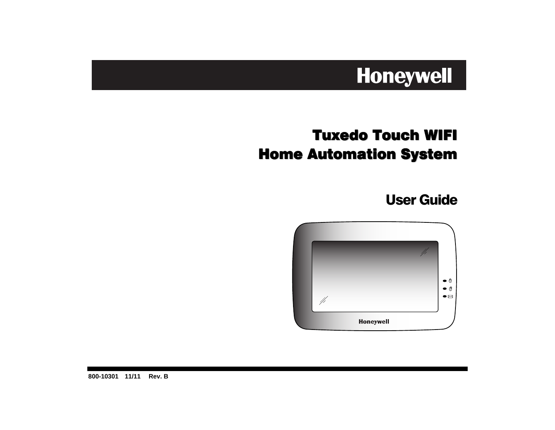# Honeywell

# Tuxedo Touch WIFI Home Automation System

User Guide



**800-10301 11/11 Rev. B**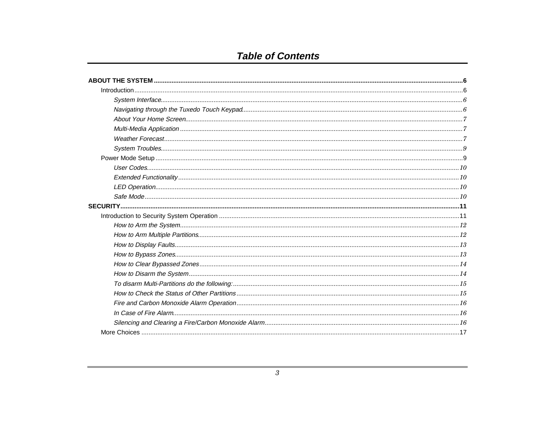# **Table of Contents**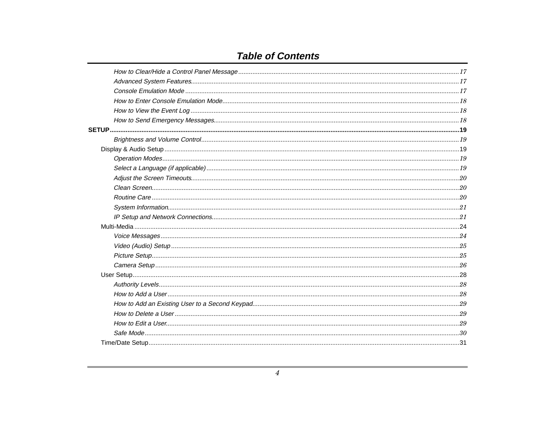# **Table of Contents**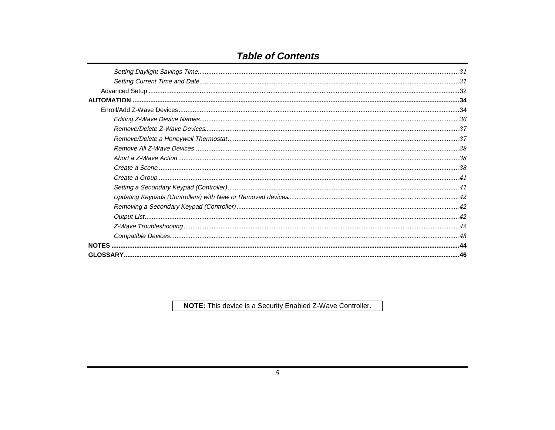# **Table of Contents**

| <b>NOTES</b> |  |
|--------------|--|
|              |  |

NOTE: This device is a Security Enabled Z-Wave Controller.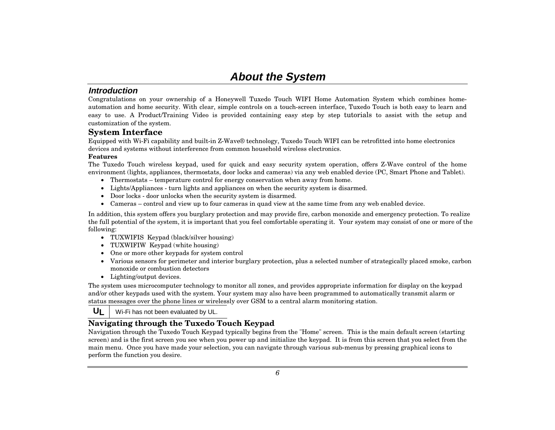# **About the System**

#### **Introduction**

Congratulations on your ownership of a Honeywell Tuxedo Touch WIFI Home Automation System which combines homeautomation and home security. With clear, simple controls on a touch-screen interface, Tuxedo Touch is both easy to learn and easy to use. A Product/Training Video is provided containing easy step by step tutorials to assist with the setup and customization of the system.

#### **System Interface**

Equipped with Wi-Fi capability and built-in Z-Wave® technology, Tuxedo Touch WIFI can be retrofitted into home electronics devices and systems without interference from common household wireless electronics.

#### **Features**

The Tuxedo Touch wireless keypad, used for quick and easy security system operation, offers Z-Wave control of the home environment (lights, appliances, thermostats, door locks and cameras) via any web enabled device (PC, Smart Phone and Tablet).

- Thermostats temperature control for energy conservation when away from home.
- Lights/Appliances turn lights and appliances on when the security system is disarmed.
- Door locks door unlocks when the security system is disarmed.
- Cameras control and view up to four cameras in quad view at the same time from any web enabled device.

In addition, this system offers you burglary protection and may provide fire, carbon monoxide and emergency protection. To realize the full potential of the system, it is important that you feel comfortable operating it. Your system may consist of one or more of the following:

- TUXWIFIS Keypad (black/silver housing)
- TUXWIFIW Keypad (white housing)
- One or more other keypads for system control
- Various sensors for perimeter and interior burglary protection, plus a selected number of strategically placed smoke, carbon monoxide or combustion detectors
- Lighting/output devices.

The system uses microcomputer technology to monitor all zones, and provides appropriate information for display on the keypad and/or other keypads used with the system. Your system may also have been programmed to automatically transmit alarm or status messages over the phone lines or wirelessly over GSM to a central alarm monitoring station.

 $U_{\rm L}$ Wi-Fi has not been evaluated by UL.

### **Navigating through the Tuxedo Touch Keypad**

Navigation through the Tuxedo Touch Keypad typically begins from the "Home" screen. This is the main default screen (starting screen) and is the first screen you see when you power up and initialize the keypad. It is from this screen that you select from the main menu. Once you have made your selection, you can navigate through various sub-menus by pressing graphical icons to perform the function you desire.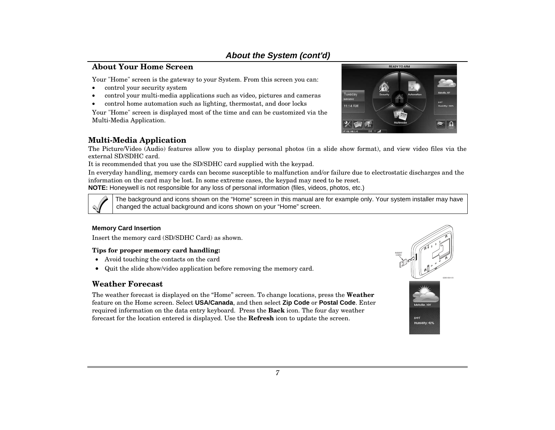### **About the System (cont'd)**

#### **About Your Home Screen**

Your "Home" screen is the gateway to your System. From this screen you can:

- •control your security system
- •control your multi-media applications such as video, pictures and cameras
- •control home automation such as lighting, thermostat, and door locks

Your "Home" screen is displayed most of the time and can be customized via the Multi-Media Application.



The Picture/Video (Audio) features allow you to display personal photos (in a slide show format), and view video files via the external SD/SDHC card.

It is recommended that you use the SD/SDHC card supplied with the keypad.

In everyday handling, memory cards can become susceptible to malfunction and/or failure due to electrostatic discharges and the information on the card may be lost. In some extreme cases, the keypad may need to be reset.

**NOTE:** Honeywell is not responsible for any loss of personal information (files, videos, photos, etc.)



The background and icons shown on the "Home" screen in this manual are for example only. Your system installer may have changed the actual background and icons shown on your "Home" screen.

#### **Memory Card Insertion**

Insert the memory card (SD/SDHC Card) as shown.

#### **Tips for proper memory card handling:**

- Avoid touching the contacts on the card
- Quit the slide show/video application before removing the memory card.

### **Weather Forecast**

The weather forecast is displayed on the "Home" screen. To change locations, press the **Weather** feature on the Home screen. Select **USA/Canada**, and then select **Zip Code** or **Postal Code**. Enter required information on the data entry keyboard. Press the **Back** icon. The four day weather forecast for the location entered is displayed. Use the **Refresh** icon to update the screen.





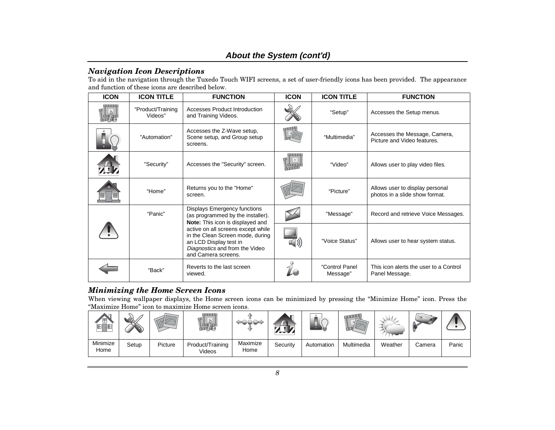### **About the System (cont'd)**

#### *Navigation Icon Descriptions*

To aid in the navigation through the Tuxedo Touch WIFI screens, a set of user-friendly icons has been provided. The appearance and function of these icons are described below.

| <b>ICON</b>   | <b>ICON TITLE</b>            | <b>FUNCTION</b>                                                                                                                                           | <b>ICON</b> | <b>ICON TITLE</b>          | <b>FUNCTION</b>                                                   |
|---------------|------------------------------|-----------------------------------------------------------------------------------------------------------------------------------------------------------|-------------|----------------------------|-------------------------------------------------------------------|
| $\frac{5}{4}$ | "Product/Training<br>Videos" | <b>Accesses Product Introduction</b><br>and Training Videos.                                                                                              |             | "Setup"                    | Accesses the Setup menus.                                         |
|               | "Automation"                 | Accesses the Z-Wave setup,<br>Scene setup, and Group setup<br>screens.                                                                                    |             | "Multimedia"               | Accesses the Message, Camera,<br>Picture and Video features.      |
|               | "Security"                   | Accesses the "Security" screen.                                                                                                                           |             | "Video"                    | Allows user to play video files.                                  |
|               | "Home"                       | Returns you to the "Home"<br>screen.                                                                                                                      |             | "Picture"                  | Allows user to display personal<br>photos in a slide show format. |
|               | "Panic"                      | Displays Emergency functions<br>(as programmed by the installer).<br>Note: This icon is displayed and                                                     |             | "Message"                  | Record and retrieve Voice Messages.                               |
|               |                              | active on all screens except while<br>in the Clean Screen mode, during<br>an LCD Display test in<br>Diagnostics and from the Video<br>and Camera screens. |             | "Voice Status"             | Allows user to hear system status.                                |
|               | "Back"                       | Reverts to the last screen<br>viewed.                                                                                                                     |             | "Control Panel<br>Message" | This icon alerts the user to a Control<br>Panel Message.          |

### *Minimizing the Home Screen Icons*

When viewing wallpaper displays, the Home screen icons can be minimized by pressing the "Minimize Home" icon. Press the "Maximize Home" icon to maximize Home screen icons.

| ▲□<br>ᅠ<br>间<br>JE | $\mathscr{L}\!\!\mathscr{D}\mathcal{L}$ |         | <br>v.                     |                  | ﯩ⊪       |            |            | . VA.68 | ∽      |       |
|--------------------|-----------------------------------------|---------|----------------------------|------------------|----------|------------|------------|---------|--------|-------|
| Minimize<br>Home   | Setup                                   | Picture | Product/Training<br>Videos | Maximize<br>Home | Security | Automation | Multimedia | Weather | Camera | Panic |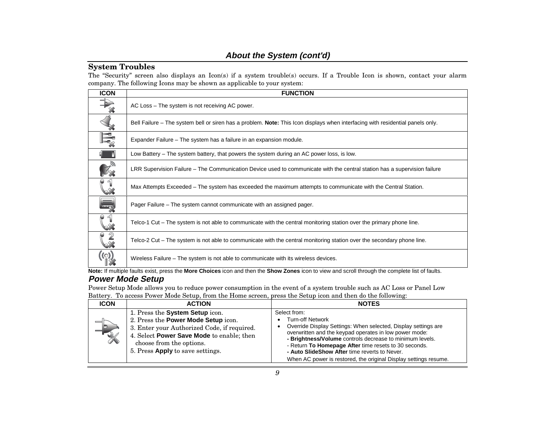### **About the System (cont'd)**

#### **System Troubles**

The "Security" screen also displays an Icon(s) if a system trouble(s) occurs. If a Trouble Icon is shown, contact your alarm company. The following Icons may be shown as applicable to your system:

| <b>ICON</b>              | <b>FUNCTION</b>                                                                                                                |
|--------------------------|--------------------------------------------------------------------------------------------------------------------------------|
|                          | AC Loss – The system is not receiving AC power.                                                                                |
| 繁                        | Bell Failure – The system bell or siren has a problem. Note: This Icon displays when interfacing with residential panels only. |
|                          | Expander Failure – The system has a failure in an expansion module.                                                            |
|                          | Low Battery – The system battery, that powers the system during an AC power loss, is low.                                      |
|                          | LRR Supervision Failure – The Communication Device used to communicate with the central station has a supervision failure      |
| $\mathcal{C}^1_{\infty}$ | Max Attempts Exceeded – The system has exceeded the maximum attempts to communicate with the Central Station.                  |
|                          | Pager Failure – The system cannot communicate with an assigned pager.                                                          |
| $\frac{1}{2}$            | Telco-1 Cut – The system is not able to communicate with the central monitoring station over the primary phone line.           |
|                          | Telco-2 Cut – The system is not able to communicate with the central monitoring station over the secondary phone line.         |
|                          | Wireless Failure – The system is not able to communicate with its wireless devices.                                            |

**Note:** If multiple faults exist, press the **More Choices** icon and then the **Show Zones** icon to view and scroll through the complete list of faults.

### **Power Mode Setup**

Power Setup Mode allows you to reduce power consumption in the event of a system trouble such as AC Loss or Panel Low Battery. To access Power Mode Setup, from the Home screen, press the Setup icon and then do the following:

| <b>ICON</b>               | <b>ACTION</b>                                                                                                                                                                                                                      | <b>NOTES</b>                                                                                                                                                                                                                                                                                                                                                                                                  |
|---------------------------|------------------------------------------------------------------------------------------------------------------------------------------------------------------------------------------------------------------------------------|---------------------------------------------------------------------------------------------------------------------------------------------------------------------------------------------------------------------------------------------------------------------------------------------------------------------------------------------------------------------------------------------------------------|
| ⅂<br>$\frac{1}{\sqrt{2}}$ | 1. Press the System Setup icon.<br>2. Press the Power Mode Setup icon.<br>3. Enter your Authorized Code, if required.<br>4. Select Power Save Mode to enable; then<br>choose from the options.<br>5. Press Apply to save settings. | Select from:<br><b>Turn-off Network</b><br>Override Display Settings: When selected, Display settings are<br>overwritten and the keypad operates in low power mode:<br>- Brightness/Volume controls decrease to minimum levels.<br>- Return To Homepage After time resets to 30 seconds.<br>- Auto SlideShow After time reverts to Never.<br>When AC power is restored, the original Display settings resume. |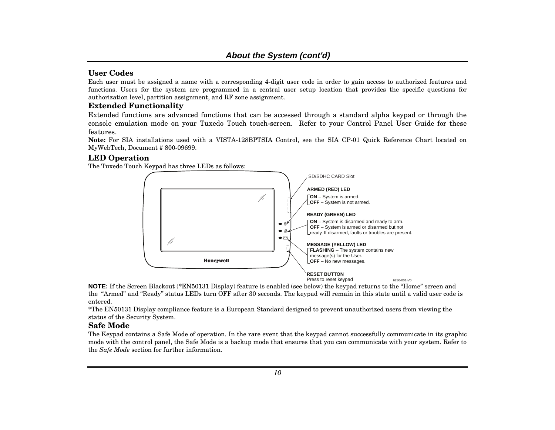#### **User Codes**

Each user must be assigned a name with a corresponding 4-digit user code in order to gain access to authorized features and functions. Users for the system are programmed in a central user setup location that provides the specific questions for authorization level, partition assignment, and RF zone assignment.

#### **Extended Functionality**

Extended functions are advanced functions that can be accessed through a standard alpha keypad or through the console emulation mode on your Tuxedo Touch touch-screen. Refer to your Control Panel User Guide for these features.

**Note:** For SIA installations used with a VISTA-128BPTSIA Control, see the SIA CP-01 Quick Reference Chart located on MyWebTech, Document # 800-09699.

#### **LED Operation**

The Tuxedo Touch Keypad has three LEDs as follows:



**NOTE:** If the Screen Blackout (\*EN50131 Display) feature is enabled (see below) the keypad returns to the "Home" screen and the "Armed" and "Ready" status LEDs turn OFF after 30 seconds. The keypad will remain in this state until a valid user code is entered.

\*The EN50131 Display compliance feature is a European Standard designed to prevent unauthorized users from viewing the status of the Security System.

#### **Safe Mode**

The Keypad contains a Safe Mode of operation. In the rare event that the keypad cannot successfully communicate in its graphic mode with the control panel, the Safe Mode is a backup mode that ensures that you can communicate with your system. Refer to the *Safe Mode* section for further information.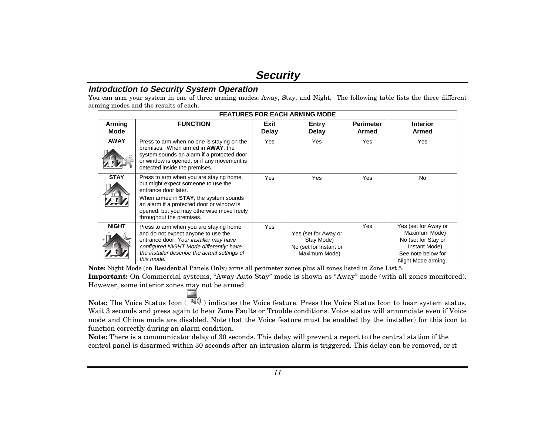# **Security**

#### **Introduction to Security System Operation**

You can arm your system in one of three arming modes: Away, Stay, and Night. The following table lists the three different arming modes and the results of each.

|                | <b>FEATURES FOR EACH ARMING MODE</b>                                                                                                                                                                                                                                          |               |                                                                               |                    |                                                                                                                           |  |  |  |
|----------------|-------------------------------------------------------------------------------------------------------------------------------------------------------------------------------------------------------------------------------------------------------------------------------|---------------|-------------------------------------------------------------------------------|--------------------|---------------------------------------------------------------------------------------------------------------------------|--|--|--|
| Arming<br>Mode | <b>FUNCTION</b>                                                                                                                                                                                                                                                               | Exit<br>Delay | <b>Entry</b><br>Delay                                                         | Perimeter<br>Armed | <b>Interior</b><br><b>Armed</b>                                                                                           |  |  |  |
| <b>AWAY</b>    | Press to arm when no one is staying on the<br>premises. When armed in <b>AWAY</b> , the<br>system sounds an alarm if a protected door<br>or window is opened, or if any movement is<br>detected inside the premises.                                                          | Yes           | Yes                                                                           | Yes                | Yes                                                                                                                       |  |  |  |
| <b>STAY</b>    | Press to arm when you are staying home,<br>but might expect someone to use the<br>entrance door later.<br>When armed in <b>STAY</b> , the system sounds<br>an alarm if a protected door or window is<br>opened, but you may otherwise move freely<br>throughout the premises. | Yes           | Yes                                                                           | Yes                | No                                                                                                                        |  |  |  |
| <b>NIGHT</b>   | Press to arm when you are staying home<br>and do not expect anyone to use the<br>entrance door. Your installer may have<br>configured NIGHT Mode differently; have<br>the installer describe the actual settings of<br>this mode.                                             | Yes           | Yes (set for Away or<br>Stay Mode)<br>No (set for Instant or<br>Maximum Mode) | Yes                | Yes (set for Away or<br>Maximum Mode)<br>No (set for Stay or<br>Instant Mode)<br>See note below for<br>Night Mode arming. |  |  |  |

**Note:** Night Mode (on Residential Panels Only) arms all perimeter zones plus all zones listed in Zone List 5.

**Important:** On Commercial systems, "Away Auto Stay" mode is shown as "Away" mode (with all zones monitored). However, some interior zones may not be armed.

**Note:** The Voice Status Icon ( $\overline{(*)}$ ) indicates the Voice feature. Press the Voice Status Icon to hear system status. Wait 3 seconds and press again to hear Zone Faults or Trouble conditions. Voice status will annunciate even if Voice mode and Chime mode are disabled. Note that the Voice feature must be enabled (by the installer) for this icon to function correctly during an alarm condition.

**Note:** There is a communicator delay of 30 seconds. This delay will prevent a report to the central station if the control panel is disarmed within 30 seconds after an intrusion alarm is triggered. This delay can be removed, or it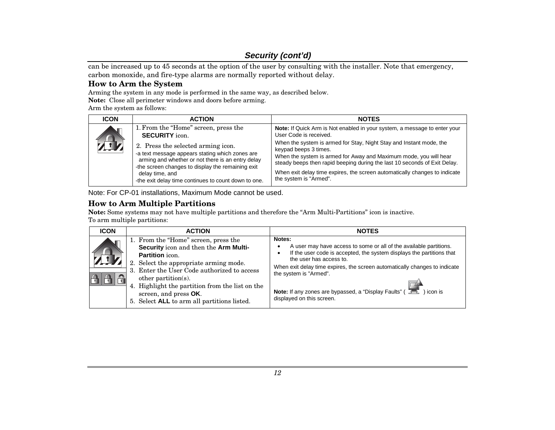can be increased up to 45 seconds at the option of the user by consulting with the installer. Note that emergency, carbon monoxide, and fire-type alarms are normally reported without delay.

#### **How to Arm the System**

Arming the system in any mode is performed in the same way, as described below.

**Note:** Close all perimeter windows and doors before arming.

Arm the system as follows:

| <b>ICON</b> | <b>ACTION</b>                                                                                                                                                                                                                                                              | <b>NOTES</b>                                                                                                                                                                                                                                                                                                                                           |
|-------------|----------------------------------------------------------------------------------------------------------------------------------------------------------------------------------------------------------------------------------------------------------------------------|--------------------------------------------------------------------------------------------------------------------------------------------------------------------------------------------------------------------------------------------------------------------------------------------------------------------------------------------------------|
|             | 1. From the "Home" screen, press the<br><b>SECURITY</b> icon.                                                                                                                                                                                                              | Note: If Quick Arm is Not enabled in your system, a message to enter your<br>User Code is received.                                                                                                                                                                                                                                                    |
| A           | 2. Press the selected arming icon.<br>-a text message appears stating which zones are<br>arming and whether or not there is an entry delay<br>-the screen changes to display the remaining exit<br>delay time, and<br>-the exit delay time continues to count down to one. | When the system is armed for Stay, Night Stay and Instant mode, the<br>keypad beeps 3 times.<br>When the system is armed for Away and Maximum mode, you will hear<br>steady beeps then rapid beeping during the last 10 seconds of Exit Delay.<br>When exit delay time expires, the screen automatically changes to indicate<br>the system is "Armed". |

Note: For CP-01 installations, Maximum Mode cannot be used.

### **How to Arm Multiple Partitions**

**Note:** Some systems may not have multiple partitions and therefore the "Arm Multi-Partitions" icon is inactive. To arm multiple partitions:

| <b>ICON</b> | <b>ACTION</b>                                                                                                                                                                                                                                                                                                                                   | <b>NOTES</b>                                                                                                                                                                                                                                                                                                                                                                                |
|-------------|-------------------------------------------------------------------------------------------------------------------------------------------------------------------------------------------------------------------------------------------------------------------------------------------------------------------------------------------------|---------------------------------------------------------------------------------------------------------------------------------------------------------------------------------------------------------------------------------------------------------------------------------------------------------------------------------------------------------------------------------------------|
|             | 1. From the "Home" screen, press the<br>Security icon and then the Arm Multi-<br>Partition icon.<br>2. Select the appropriate arming mode.<br>3. Enter the User Code authorized to access<br>other partition( $s$ ).<br>4. Highlight the partition from the list on the<br>screen, and press OK.<br>5. Select ALL to arm all partitions listed. | Notes:<br>A user may have access to some or all of the available partitions.<br>If the user code is accepted, the system displays the partitions that<br>the user has access to.<br>When exit delay time expires, the screen automatically changes to indicate<br>the system is "Armed".<br>Note: If any zones are bypassed, a "Display Faults" (<br>) icon is<br>displayed on this screen. |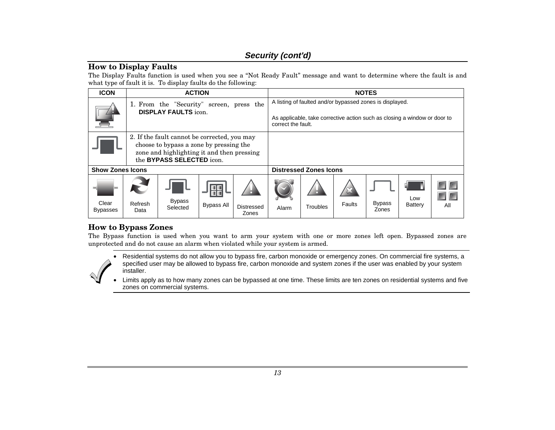#### **How to Display Faults**

The Display Faults function is used when you see a "Not Ready Fault" message and want to determine where the fault is and what type of fault it is. To display faults do the following:

| <b>ICON</b>              |                                                                                                                                                                           | <b>ACTION</b>                                                           |                         |                            |       |                                                                                                                                       |        | <b>NOTES</b>           |                |     |
|--------------------------|---------------------------------------------------------------------------------------------------------------------------------------------------------------------------|-------------------------------------------------------------------------|-------------------------|----------------------------|-------|---------------------------------------------------------------------------------------------------------------------------------------|--------|------------------------|----------------|-----|
|                          |                                                                                                                                                                           | 1. From the "Security" screen, press the<br><b>DISPLAY FAULTS</b> icon. | correct the fault.      |                            |       | A listing of faulted and/or bypassed zones is displayed.<br>As applicable, take corrective action such as closing a window or door to |        |                        |                |     |
|                          | 2. If the fault cannot be corrected, you may<br>choose to bypass a zone by pressing the<br>zone and highlighting it and then pressing<br>the <b>BYPASS SELECTED</b> icon. |                                                                         |                         |                            |       |                                                                                                                                       |        |                        |                |     |
| <b>Show Zones Icons</b>  |                                                                                                                                                                           |                                                                         |                         |                            |       | <b>Distressed Zones Icons</b>                                                                                                         |        |                        |                |     |
| Clear<br><b>Bypasses</b> | Refresh<br>Data                                                                                                                                                           | <b>Bypass</b><br>Selected                                               | HH<br><b>Bypass All</b> | <b>Distressed</b><br>Zones | Alarm | Troubles                                                                                                                              | Faults | <b>Bypass</b><br>Zones | Low<br>Battery | All |

### **How to Bypass Zones**

The Bypass function is used when you want to arm your system with one or more zones left open. Bypassed zones are unprotected and do not cause an alarm when violated while your system is armed.

• Residential systems do not allow you to bypass fire, carbon monoxide or emergency zones. On commercial fire systems, a specified user may be allowed to bypass fire, carbon monoxide and system zones if the user was enabled by your system installer.

• Limits apply as to how many zones can be bypassed at one time. These limits are ten zones on residential systems and five zones on commercial systems.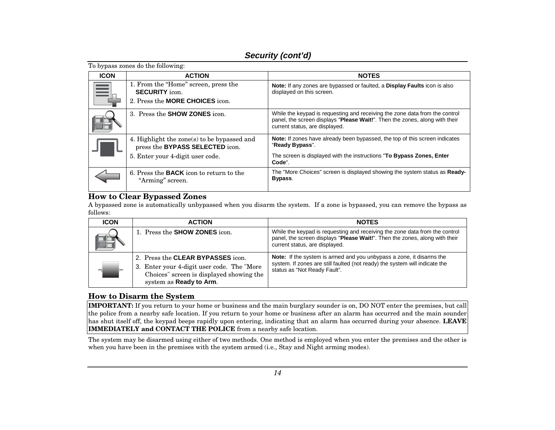| To bypass zones do the following: |                                                                                                         |                                                                                                                                                                                              |  |  |  |  |
|-----------------------------------|---------------------------------------------------------------------------------------------------------|----------------------------------------------------------------------------------------------------------------------------------------------------------------------------------------------|--|--|--|--|
| <b>ICON</b>                       | <b>ACTION</b>                                                                                           | <b>NOTES</b>                                                                                                                                                                                 |  |  |  |  |
|                                   | 1. From the "Home" screen, press the<br><b>SECURITY</b> icon.<br>2. Press the <b>MORE CHOICES</b> icon. | Note: If any zones are bypassed or faulted, a Display Faults icon is also<br>displayed on this screen.                                                                                       |  |  |  |  |
|                                   | 3. Press the <b>SHOW ZONES</b> icon.                                                                    | While the keypad is requesting and receiving the zone data from the control<br>panel, the screen displays "Please Wait!". Then the zones, along with their<br>current status, are displayed. |  |  |  |  |
|                                   | 4. Highlight the zone(s) to be bypassed and<br>press the BYPASS SELECTED icon.                          | Note: If zones have already been bypassed, the top of this screen indicates<br>"Ready Bypass".                                                                                               |  |  |  |  |
|                                   | 5. Enter your 4-digit user code.                                                                        | The screen is displayed with the instructions "To Bypass Zones, Enter<br>Code".                                                                                                              |  |  |  |  |
|                                   | 6. Press the <b>BACK</b> icon to return to the<br>"Arming" screen.                                      | The "More Choices" screen is displayed showing the system status as <b>Ready-</b><br>Bypass.                                                                                                 |  |  |  |  |

#### **How to Clear Bypassed Zones**

A bypassed zone is automatically unbypassed when you disarm the system. If a zone is bypassed, you can remove the bypass as follows:

| <b>ICON</b> | <b>ACTION</b>                                                                                                                                          | <b>NOTES</b>                                                                                                                                                                                 |
|-------------|--------------------------------------------------------------------------------------------------------------------------------------------------------|----------------------------------------------------------------------------------------------------------------------------------------------------------------------------------------------|
|             | 1. Press the <b>SHOW ZONES</b> icon.                                                                                                                   | While the keypad is requesting and receiving the zone data from the control<br>panel, the screen displays "Please Wait!". Then the zones, along with their<br>current status, are displayed. |
|             | 2. Press the CLEAR BYPASSES icon.<br>3. Enter your 4-digit user code. The "More<br>Choices" screen is displayed showing the<br>system as Ready to Arm. | Note: If the system is armed and you unbypass a zone, it disarms the<br>system. If zones are still faulted (not ready) the system will indicate the<br>status as "Not Ready Fault".          |

#### **How to Disarm the System**

**IMPORTANT:** If you return to your home or business and the main burglary sounder is on, DO NOT enter the premises, but call the police from a nearby safe location. If you return to your home or business after an alarm has occurred and the main sounder has shut itself off, the keypad beeps rapidly upon entering, indicating that an alarm has occurred during your absence. **LEAVE IMMEDIATELY and CONTACT THE POLICE** from a nearby safe location.

The system may be disarmed using either of two methods. One method is employed when you enter the premises and the other is when you have been in the premises with the system armed (i.e., Stay and Night arming modes).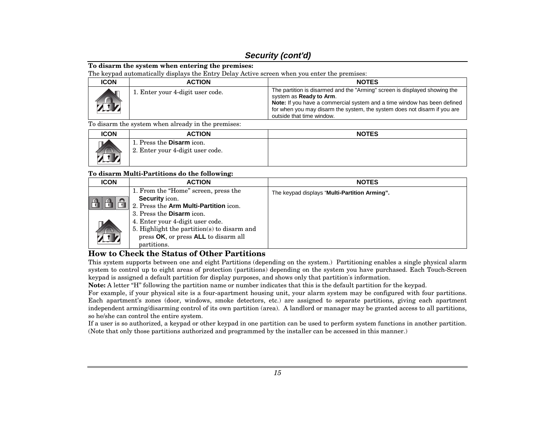#### **To disarm the system when entering the premises:**

The keypad automatically displays the Entry Delay Active screen when you enter the premises:

| <b>ICON</b>            | <b>ACTION</b>                    | <b>NOTES</b>                                                                                                                                                                                                                                                                                       |
|------------------------|----------------------------------|----------------------------------------------------------------------------------------------------------------------------------------------------------------------------------------------------------------------------------------------------------------------------------------------------|
| $\lambda$ is $\lambda$ | 1. Enter your 4-digit user code. | The partition is disarmed and the "Arming" screen is displayed showing the<br>system as <b>Ready to Arm.</b><br>Note: If you have a commercial system and a time window has been defined<br>for when you may disarm the system, the system does not disarm if you are<br>outside that time window. |

To disarm the system when already in the premises:

| <b>ICON</b> | <b>ACTION</b>                                                 | <b>NOTES</b> |
|-------------|---------------------------------------------------------------|--------------|
| -           | 1. Press the Disarm icon.<br>2. Enter your 4-digit user code. |              |

#### **To disarm Multi-Partitions do the following:**

| <b>ICON</b> | <b>ACTION</b>                               | <b>NOTES</b>                                  |  |
|-------------|---------------------------------------------|-----------------------------------------------|--|
|             | 1. From the "Home" screen, press the        | The keypad displays "Multi-Partition Arming". |  |
|             | <b>Security</b> icon.                       |                                               |  |
|             | 2. Press the Arm Multi-Partition icon.      |                                               |  |
|             | 3. Press the <b>Disarm</b> icon.            |                                               |  |
|             | 4. Enter your 4-digit user code.            |                                               |  |
|             | 5. Highlight the partition(s) to disarm and |                                               |  |
|             | press OK, or press ALL to disarm all        |                                               |  |
|             | partitions.                                 |                                               |  |

### **How to Check the Status of Other Partitions**

This system supports between one and eight Partitions (depending on the system.) Partitioning enables a single physical alarm system to control up to eight areas of protection (partitions) depending on the system you have purchased. Each Touch-Screen keypad is assigned a default partition for display purposes, and shows only that partition's information.

**Note:** A letter "H" following the partition name or number indicates that this is the default partition for the keypad.

For example, if your physical site is a four-apartment housing unit, your alarm system may be configured with four partitions. Each apartment's zones (door, windows, smoke detectors, etc.) are assigned to separate partitions, giving each apartment independent arming/disarming control of its own partition (area). A landlord or manager may be granted access to all partitions, so he/she can control the entire system.

If a user is so authorized, a keypad or other keypad in one partition can be used to perform system functions in another partition. (Note that only those partitions authorized and programmed by the installer can be accessed in this manner.)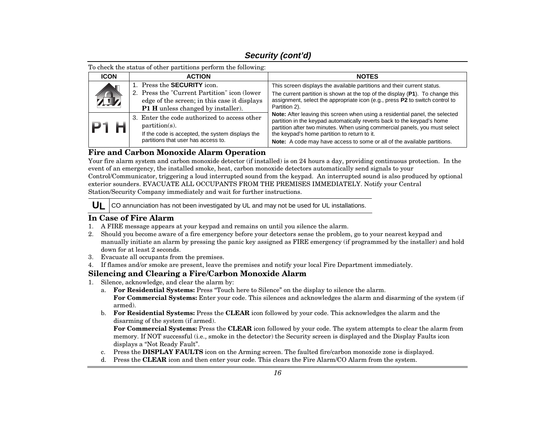To check the status of other partitions perform the following:

| <b>ICON</b> | <b>ACTION</b>                                                                                                                                                                   | <b>NOTES</b>                                                                                                                                                                                                                                                                                                                                                             |  |
|-------------|---------------------------------------------------------------------------------------------------------------------------------------------------------------------------------|--------------------------------------------------------------------------------------------------------------------------------------------------------------------------------------------------------------------------------------------------------------------------------------------------------------------------------------------------------------------------|--|
| zA.         | 1. Press the <b>SECURITY</b> icon.<br>2. Press the "Current Partition" icon (lower<br>edge of the screen; in this case it displays<br><b>P1 H</b> unless changed by installer). | This screen displays the available partitions and their current status.<br>The current partition is shown at the top of the display (P1). To change this<br>assignment, select the appropriate icon (e.g., press P2 to switch control to<br>Partition 2).                                                                                                                |  |
| P1 H        | 3. Enter the code authorized to access other<br>$partition(s)$ .<br>If the code is accepted, the system displays the<br>partitions that user has access to.                     | Note: After leaving this screen when using a residential panel, the selected<br>partition in the keypad automatically reverts back to the keypad's home<br>partition after two minutes. When using commercial panels, you must select<br>the keypad's home partition to return to it.<br><b>Note:</b> A code may have access to some or all of the available partitions. |  |

### **Fire and Carbon Monoxide Alarm Operation**

Your fire alarm system and carbon monoxide detector (if installed) is on 24 hours a day, providing continuous protection. In the event of an emergency, the installed smoke, heat, carbon monoxide detectors automatically send signals to your Control/Communicator, triggering a loud interrupted sound from the keypad. An interrupted sound is also produced by optional exterior sounders. EVACUATE ALL OCCUPANTS FROM THE PREMISES IMMEDIATELY. Notify your Central Station/Security Company immediately and wait for further instructions.

**UL**CO annunciation has not been investigated by UL and may not be used for UL installations.

### **In Case of Fire Alarm**

- 1. A FIRE message appears at your keypad and remains on until you silence the alarm.
- 2. Should you become aware of a fire emergency before your detectors sense the problem, go to your nearest keypad and manually initiate an alarm by pressing the panic key assigned as FIRE emergency (if programmed by the installer) and hold down for at least 2 seconds.
- 3. Evacuate all occupants from the premises.
- 4. If flames and/or smoke are present, leave the premises and notify your local Fire Department immediately.

### **Silencing and Clearing a Fire/Carbon Monoxide Alarm**

- 1. Silence, acknowledge, and clear the alarm by:
	- a. **For Residential Systems:** Press "Touch here to Silence" on the display to silence the alarm. **For Commercial Systems:** Enter your code. This silences and acknowledges the alarm and disarming of the system (if armed).
	- b. **For Residential Systems:** Press the **CLEAR** icon followed by your code. This acknowledges the alarm and the disarming of the system (if armed).

**For Commercial Systems:** Press the **CLEAR** icon followed by your code. The system attempts to clear the alarm from memory. If NOT successful (i.e., smoke in the detector) the Security screen is displayed and the Display Faults icon displays a "Not Ready Fault".

- c. Press the **DISPLAY FAULTS** icon on the Arming screen. The faulted fire/carbon monoxide zone is displayed.
- d. Press the **CLEAR** icon and then enter your code. This clears the Fire Alarm/CO Alarm from the system.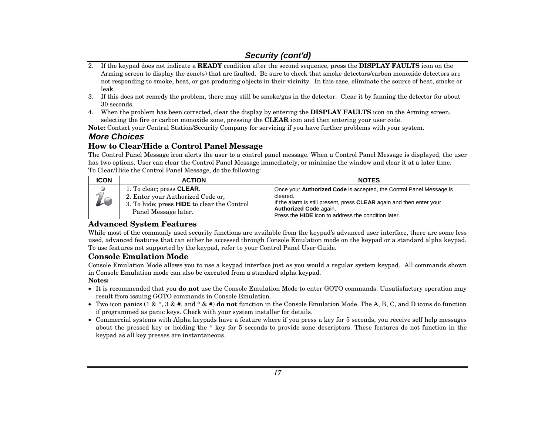- 2. If the keypad does not indicate a **READY** condition after the second sequence, press the **DISPLAY FAULTS** icon on the Arming screen to display the zone(s) that are faulted. Be sure to check that smoke detectors/carbon monoxide detectors are not responding to smoke, heat, or gas producing objects in their vicinity. In this case, eliminate the source of heat, smoke or leak.
- 3. If this does not remedy the problem, there may still be smoke/gas in the detector. Clear it by fanning the detector for about 30 seconds.
- 4. When the problem has been corrected, clear the display by entering the **DISPLAY FAULTS** icon on the Arming screen, selecting the fire or carbon monoxide zone, pressing the **CLEAR** icon and then entering your user code.

**Note:** Contact your Central Station/Security Company for servicing if you have further problems with your system.

### **More Choices**

### **How to Clear/Hide a Control Panel Message**

The Control Panel Message icon alerts the user to a control panel message. When a Control Panel Message is displayed, the user has two options. User can clear the Control Panel Message immediately, or minimize the window and clear it at a later time. To Clear/Hide the Control Panel Message, do the following:

| <b>ICON</b>      | <b>ACTION</b>                                                                                                                                 | <b>NOTES</b>                                                                                                                                                                                                                                                  |
|------------------|-----------------------------------------------------------------------------------------------------------------------------------------------|---------------------------------------------------------------------------------------------------------------------------------------------------------------------------------------------------------------------------------------------------------------|
| $\sqrt{2}$<br>19 | 1. To clear; press <b>CLEAR</b> .<br>2. Enter your Authorized Code or,<br>3. To hide; press HIDE to clear the Control<br>Panel Message later. | Once your <b>Authorized Code</b> is accepted, the Control Panel Message is<br>cleared.<br>If the alarm is still present, press CLEAR again and then enter your<br><b>Authorized Code again.</b><br>Press the <b>HIDE</b> icon to address the condition later. |

### **Advanced System Features**

While most of the commonly used security functions are available from the keypad's advanced user interface, there are some less used, advanced features that can either be accessed through Console Emulation mode on the keypad or a standard alpha keypad. To use features not supported by the keypad, refer to your Control Panel User Guide.

#### **Console Emulation Mode**

Console Emulation Mode allows you to use a keypad interface just as you would a regular system keypad. All commands shown in Console Emulation mode can also be executed from a standard alpha keypad.

#### **Notes:**

- It is recommended that you **do not** use the Console Emulation Mode to enter GOTO commands. Unsatisfactory operation may result from issuing GOTO commands in Console Emulation.
- Two icon panics (1 & \*, 3 & #, and \* & #) **do not** function in the Console Emulation Mode. The A, B, C, and D icons do function if programmed as panic keys. Check with your system installer for details.
- Commercial systems with Alpha keypads have a feature where if you press a key for 5 seconds, you receive self help messages about the pressed key or holding the \* key for 5 seconds to provide zone descriptors. These features do not function in the keypad as all key presses are instantaneous.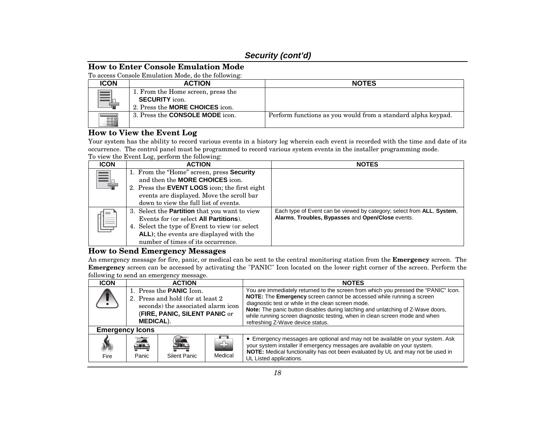#### **How to Enter Console Emulation Mode**

To access Console Emulation Mode, do the following:

| <b>ICON</b> | <b>ACTION</b>                                                                                         | <b>NOTES</b>                                                 |
|-------------|-------------------------------------------------------------------------------------------------------|--------------------------------------------------------------|
| <u>__</u>   | 1. From the Home screen, press the<br><b>SECURITY</b> icon.<br>2. Press the <b>MORE CHOICES</b> icon. |                                                              |
| EEE         | 3. Press the <b>CONSOLE MODE</b> icon.                                                                | Perform functions as you would from a standard alpha keypad. |

### **How to View the Event Log**

Your system has the ability to record various events in a history log wherein each event is recorded with the time and date of its occurrence. The control panel must be programmed to record various system events in the installer programming mode. To view the Event Log, perform the following:

| <b>ICON</b> | <b>ACTION</b>                                                                                                                                                                                                                     | <b>NOTES</b>                                                                                                                        |
|-------------|-----------------------------------------------------------------------------------------------------------------------------------------------------------------------------------------------------------------------------------|-------------------------------------------------------------------------------------------------------------------------------------|
|             | 1. From the "Home" screen, press Security<br>and then the <b>MORE CHOICES</b> icon.<br>2. Press the <b>EVENT LOGS</b> icon; the first eight<br>events are displayed. Move the scroll bar<br>down to view the full list of events. |                                                                                                                                     |
| Ę           | 3. Select the <b>Partition</b> that you want to view<br>Events for (or select All Partitions).<br>4. Select the type of Event to view (or select<br>ALL); the events are displayed with the<br>number of times of its occurrence. | Each type of Event can be viewed by category; select from <b>ALL</b> , System,<br>Alarms, Troubles, Bypasses and Open/Close events. |

#### **How to Send Emergency Messages**

An emergency message for fire, panic, or medical can be sent to the central monitoring station from the **Emergency** screen. The **Emergency** screen can be accessed by activating the "PANIC" Icon located on the lower right corner of the screen. Perform the following to send an emergency message.

| <b>ICON</b>              |                                                                                                                                                                  | <b>ACTION</b>     |               | <b>NOTES</b>                                                                                                                                                                                                                                                                                                                                                                                                            |
|--------------------------|------------------------------------------------------------------------------------------------------------------------------------------------------------------|-------------------|---------------|-------------------------------------------------------------------------------------------------------------------------------------------------------------------------------------------------------------------------------------------------------------------------------------------------------------------------------------------------------------------------------------------------------------------------|
|                          | 1. Press the <b>PANIC</b> Icon.<br>2. Press and hold (for at least 2)<br>seconds) the associated alarm icon<br>(FIRE, PANIC, SILENT PANIC or<br><b>MEDICAL).</b> |                   |               | You are immediately returned to the screen from which you pressed the "PANIC" Icon.<br>NOTE: The Emergency screen cannot be accessed while running a screen<br>diagnostic test or while in the clean screen mode.<br>Note: The panic button disables during latching and unlatching of Z-Wave doors,<br>while running screen diagnostic testing, when in clean screen mode and when<br>refreshing Z-Wave device status. |
| <b>Emergency Icons</b>   |                                                                                                                                                                  |                   |               |                                                                                                                                                                                                                                                                                                                                                                                                                         |
| $\ket{\text{L}}$<br>Fire | 奚<br>Panic                                                                                                                                                       | £<br>Silent Panic | d)<br>Medical | • Emergency messages are optional and may not be available on your system. Ask<br>your system installer if emergency messages are available on your system.<br>NOTE: Medical functionality has not been evaluated by UL and may not be used in<br>UL Listed applications.                                                                                                                                               |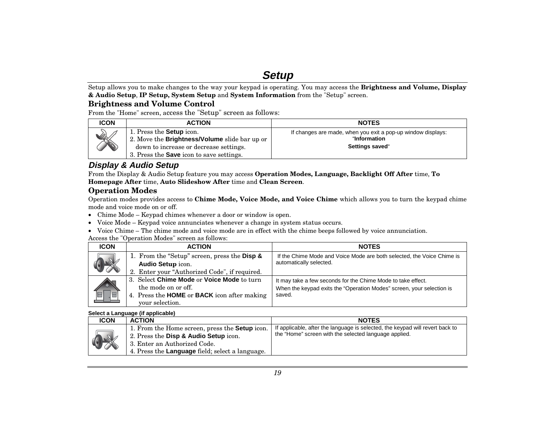# **Setup**

Setup allows you to make changes to the way your keypad is operating. You may access the **Brightness and Volume, Display & Audio Setup**, **IP Setup, System Setup** and **System Information** from the "Setup" screen.

#### **Brightness and Volume Control**

From the "Home" screen, access the "Setup" screen as follows:

| <b>ICON</b> | <b>ACTION</b>                                                                                                                                                                 | <b>NOTES</b>                                                                                    |
|-------------|-------------------------------------------------------------------------------------------------------------------------------------------------------------------------------|-------------------------------------------------------------------------------------------------|
| Dette       | 1. Press the <b>Setup</b> icon.<br>2. Move the Brightness/Volume slide bar up or<br>down to increase or decrease settings.<br>3. Press the <b>Save</b> icon to save settings. | If changes are made, when you exit a pop-up window displays:<br>"Information<br>Settings saved" |

### **Display & Audio Setup**

From the Display & Audio Setup feature you may access **Operation Modes, Language, Backlight Off After** time, **To Homepage After** time, **Auto Slideshow After** time and **Clean Screen**.

#### **Operation Modes**

Operation modes provides access to **Chime Mode, Voice Mode, and Voice Chime** which allows you to turn the keypad chime mode and voice mode on or off.

- Chime Mode Keypad chimes whenever a door or window is open.
- Voice Mode Keypad voice annunciates whenever a change in system status occurs.
- Voice Chime The chime mode and voice mode are in effect with the chime beeps followed by voice annunciation.

Access the "Operation Modes" screen as follows:

| <b>ICON</b> | <b>ACTION</b>                                             | <b>NOTES</b>                                                           |
|-------------|-----------------------------------------------------------|------------------------------------------------------------------------|
| $\sqrt{2}$  | 1. From the "Setup" screen, press the <b>Disp &amp;</b>   | If the Chime Mode and Voice Mode are both selected, the Voice Chime is |
|             | <b>Audio Setup icon.</b>                                  | automatically selected.                                                |
|             | 2. Enter your "Authorized Code", if required.             |                                                                        |
|             | 3. Select Chime Mode or Voice Mode to turn                | It may take a few seconds for the Chime Mode to take effect.           |
|             | the mode on or off.                                       | When the keypad exits the "Operation Modes" screen, your selection is  |
|             | 4. Press the <b>HOME</b> or <b>BACK</b> icon after making | saved.                                                                 |
|             | vour selection.                                           |                                                                        |

#### **Select a Language (if applicable)**

| <b>ICON</b> | <b>ACTION</b>                                                                                                                                                                            | <b>NOTES</b>                                                                                                                           |
|-------------|------------------------------------------------------------------------------------------------------------------------------------------------------------------------------------------|----------------------------------------------------------------------------------------------------------------------------------------|
| $\bigcirc$  | 1. From the Home screen, press the <b>Setup</b> icon.<br>2. Press the Disp & Audio Setup icon.<br>3. Enter an Authorized Code.<br>4. Press the <b>Language</b> field; select a language. | If applicable, after the language is selected, the keypad will revert back to<br>the "Home" screen with the selected language applied. |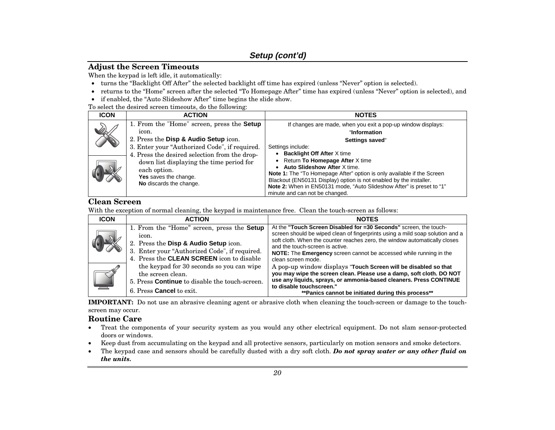#### **Adjust the Screen Timeouts**

When the keypad is left idle, it automatically:

- turns the "Backlight Off After" the selected backlight off time has expired (unless "Never" option is selected).
- returns to the "Home" screen after the selected "To Homepage After" time has expired (unless "Never" option is selected), and
- if enabled, the "Auto Slideshow After" time begins the slide show.
- To select the desired screen timeouts, do the following:

| <b>ICON</b> | <b>ACTION</b>                                                                                                                                                                                         | <b>NOTES</b>                                                                                                                                                                                                                                                                                                                      |  |  |
|-------------|-------------------------------------------------------------------------------------------------------------------------------------------------------------------------------------------------------|-----------------------------------------------------------------------------------------------------------------------------------------------------------------------------------------------------------------------------------------------------------------------------------------------------------------------------------|--|--|
|             | 1. From the "Home" screen, press the <b>Setup</b><br>icon.<br>2. Press the Disp & Audio Setup icon.<br>3. Enter your "Authorized Code", if required.<br>4. Press the desired selection from the drop- | If changes are made, when you exit a pop-up window displays:<br>"Information<br>Settings saved"<br>Settings include:<br><b>Backlight Off After X time</b>                                                                                                                                                                         |  |  |
|             | down list displaying the time period for<br>each option.<br><b>Yes</b> saves the change.<br>No discards the change.                                                                                   | Return To Homepage After X time<br>Auto Slideshow After X time.<br><b>Note 1:</b> The "To Homepage After" option is only available if the Screen<br>Blackout (EN50131 Display) option is not enabled by the installer.<br>Note 2: When in EN50131 mode, "Auto Slideshow After" is preset to "1"<br>minute and can not be changed. |  |  |

### **Clean Screen**

With the exception of normal cleaning, the keypad is maintenance free. Clean the touch-screen as follows:

| <b>ICON</b> | <b>ACTION</b>                                                                                                                                                                                     | <b>NOTES</b>                                                                                                                                                                                                                                                                                                                                                    |
|-------------|---------------------------------------------------------------------------------------------------------------------------------------------------------------------------------------------------|-----------------------------------------------------------------------------------------------------------------------------------------------------------------------------------------------------------------------------------------------------------------------------------------------------------------------------------------------------------------|
|             | 1. From the "Home" screen, press the <b>Setup</b><br>icon.<br>2. Press the Disp & Audio Setup icon.<br>3. Enter your "Authorized Code", if required.<br>4. Press the CLEAN SCREEN icon to disable | At the "Touch Screen Disabled for =30 Seconds" screen, the touch-<br>screen should be wiped clean of fingerprints using a mild soap solution and a<br>soft cloth. When the counter reaches zero, the window automatically closes<br>and the touch-screen is active.<br>NOTE: The Emergency screen cannot be accessed while running in the<br>clean screen mode. |
|             | the keypad for 30 seconds so you can wipe<br>the screen clean.<br>5. Press <b>Continue</b> to disable the touch-screen.<br>6. Press <b>Cancel</b> to exit.                                        | A pop-up window displays "Touch Screen will be disabled so that<br>you may wipe the screen clean. Please use a damp, soft cloth. DO NOT<br>use any liquids, sprays, or ammonia-based cleaners. Press CONTINUE<br>to disable touchscreen."<br>** Panics cannot be initiated during this process**                                                                |

**IMPORTANT:** Do not use an abrasive cleaning agent or abrasive cloth when cleaning the touch-screen or damage to the touchscreen may occur.

#### **Routine Care**

- • Treat the components of your security system as you would any other electrical equipment. Do not slam sensor-protected doors or windows.
- •Keep dust from accumulating on the keypad and all protective sensors, particularly on motion sensors and smoke detectors.
- • The keypad case and sensors should be carefully dusted with a dry soft cloth. *Do not spray water or any other fluid on the units.*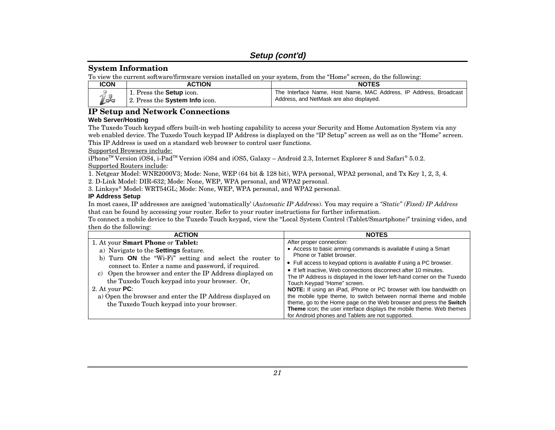### **Setup (cont'd)**

#### **System Information**

To view the current software/firmware version installed on your system, from the "Home" screen, do the following:

| <b>ICON</b>   | <b>ACTION</b>                                                      | <b>NOTES</b>                                                                                                  |  |  |  |
|---------------|--------------------------------------------------------------------|---------------------------------------------------------------------------------------------------------------|--|--|--|
| $\mathcal{D}$ | 1. Press the <b>Setup</b> icon.<br>12. Press the System Info icon. | The Interface Name, Host Name, MAC Address, IP Address, Broadcast<br>Address, and NetMask are also displayed. |  |  |  |

### **IP Setup and Network Connections**

#### **Web Server/Hosting**

The Tuxedo Touch keypad offers built-in web hosting capability to access your Security and Home Automation System via any web enabled device. The Tuxedo Touch keypad IP Address is displayed on the "IP Setup" screen as well as on the "Home" screen. This IP Address is used on a standard web browser to control user functions.

Supported Browsers include:

iPhoneTM Version iOS4, i-PadTM Version iOS4 and iOS5, Galaxy – Android 2.3, Internet Explorer 8 and Safari® 5.0.2. Supported Routers include:

1. Netgear Model: WNR2000V3; Mode: None, WEP (64 bit & 128 bit), WPA personal, WPA2 personal, and Tx Key 1, 2, 3, 4.

2. D-Link Model: DIR-632; Mode: None, WEP, WPA personal, and WPA2 personal.

3. Linksys® Model: WRT54GL; Mode: None, WEP, WPA personal, and WPA2 personal.

#### **IP Address Setup**

In most cases, IP addresses are assigned 'automatically' (*Automatic IP Addre*ss). You may require a *"Static" (Fixed) IP Address* that can be found by accessing your router. Refer to your router instructions for further information.

To connect a mobile device to the Tuxedo Touch keypad, view the "Local System Control (Tablet/Smartphone)" training video, and then do the following:

| <b>ACTION</b>                                                                                                                                                                                                                                                                                                                                                                                                                                           | <b>NOTES</b>                                                                                                                                                                                                                                                                                                                                                                                                                                                                                                                                                                                                                                                                                                              |
|---------------------------------------------------------------------------------------------------------------------------------------------------------------------------------------------------------------------------------------------------------------------------------------------------------------------------------------------------------------------------------------------------------------------------------------------------------|---------------------------------------------------------------------------------------------------------------------------------------------------------------------------------------------------------------------------------------------------------------------------------------------------------------------------------------------------------------------------------------------------------------------------------------------------------------------------------------------------------------------------------------------------------------------------------------------------------------------------------------------------------------------------------------------------------------------------|
| 1. At your <b>Smart Phone</b> or <b>Tablet:</b><br>a) Navigate to the Settings feature.<br>b) Turn ON the "Wi-Fi" setting and select the router to<br>connect to. Enter a name and password, if required.<br>c) Open the browser and enter the IP Address displayed on<br>the Tuxedo Touch keypad into your browser. Or,<br>2. At your $PC:$<br>a) Open the browser and enter the IP Address displayed on<br>the Tuxedo Touch keypad into your browser. | After proper connection:<br>• Access to basic arming commands is available if using a Smart<br>Phone or Tablet browser.<br>• Full access to keypad options is available if using a PC browser.<br>• If left inactive, Web connections disconnect after 10 minutes.<br>The IP Address is displayed in the lower left-hand corner on the Tuxedo<br>Touch Keypad "Home" screen.<br>NOTE: If using an iPad, iPhone or PC browser with low bandwidth on<br>the mobile type theme, to switch between normal theme and mobile<br>theme, go to the Home page on the Web browser and press the Switch<br>Theme icon; the user interface displays the mobile theme. Web themes<br>for Android phones and Tablets are not supported. |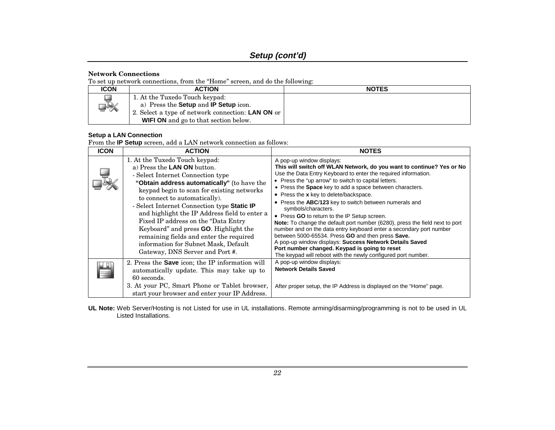#### **Network Connections**

To set up network connections, from the "Home" screen, and do the following:

| <b>ICON</b> | <b>ACTION</b>                                                                                                                                                                                     | <b>NOTES</b> |
|-------------|---------------------------------------------------------------------------------------------------------------------------------------------------------------------------------------------------|--------------|
| ⊒₩          | 1. At the Tuxedo Touch keypad:<br>a) Press the <b>Setup</b> and <b>IP Setup</b> icon.<br>2. Select a type of network connection: <b>LAN ON</b> or<br><b>WIFI ON</b> and go to that section below. |              |

#### **Setup a LAN Connection**

From the **IP Setup** screen, add a LAN network connection as follows:

| <b>ICON</b> | <b>ACTION</b>                                                                                                                                                                                                                                                                                                                                                                                                                                                                                                                                   | <b>NOTES</b>                                                                                                                                                                                                                                                                                                                                                                                                                                                                                                                                                                                                                                                                                                                                                                                                                                                 |
|-------------|-------------------------------------------------------------------------------------------------------------------------------------------------------------------------------------------------------------------------------------------------------------------------------------------------------------------------------------------------------------------------------------------------------------------------------------------------------------------------------------------------------------------------------------------------|--------------------------------------------------------------------------------------------------------------------------------------------------------------------------------------------------------------------------------------------------------------------------------------------------------------------------------------------------------------------------------------------------------------------------------------------------------------------------------------------------------------------------------------------------------------------------------------------------------------------------------------------------------------------------------------------------------------------------------------------------------------------------------------------------------------------------------------------------------------|
|             | 1. At the Tuxedo Touch keypad:<br>a) Press the LAN ON button.<br>- Select Internet Connection type<br>"Obtain address automatically" (to have the<br>keypad begin to scan for existing networks<br>to connect to automatically).<br>- Select Internet Connection type Static IP<br>and highlight the IP Address field to enter a<br>Fixed IP address on the "Data Entry"<br>Keyboard" and press <b>GO</b> . Highlight the<br>remaining fields and enter the required<br>information for Subnet Mask, Default<br>Gateway, DNS Server and Port #. | A pop-up window displays:<br>This will switch off WLAN Network, do you want to continue? Yes or No<br>Use the Data Entry Keyboard to enter the required information.<br>• Press the "up arrow" to switch to capital letters.<br>• Press the Space key to add a space between characters.<br>• Press the x key to delete/backspace.<br>• Press the ABC/123 key to switch between numerals and<br>symbols/characters.<br>• Press GO to return to the IP Setup screen.<br>Note: To change the default port number (6280), press the field next to port<br>number and on the data entry keyboard enter a secondary port number<br>between 5000-65534. Press GO and then press Save.<br>A pop-up window displays: Success Network Details Saved<br>Port number changed. Keypad is going to reset<br>The keypad will reboot with the newly configured port number. |
|             | 2. Press the <b>Save</b> icon; the IP information will<br>automatically update. This may take up to<br>60 seconds.<br>3. At your PC, Smart Phone or Tablet browser,<br>start your browser and enter your IP Address.                                                                                                                                                                                                                                                                                                                            | A pop-up window displays:<br><b>Network Details Saved</b><br>After proper setup, the IP Address is displayed on the "Home" page.                                                                                                                                                                                                                                                                                                                                                                                                                                                                                                                                                                                                                                                                                                                             |

**UL Note:** Web Server/Hosting is not Listed for use in UL installations. Remote arming/disarming/programming is not to be used in UL Listed Installations.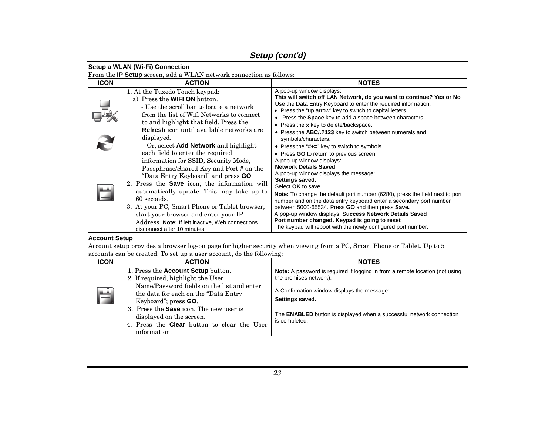### **Setup (cont'd)**

#### **Setup a WLAN (Wi-Fi) Connection**

From the **IP Setup** screen, add a WLAN network connection as follows:

| <b>ICON</b> | <b>ACTION</b>                                                                                                                                                                                                                                                                                                                                                                                                                                              | <b>NOTES</b>                                                                                                                                                                                                                                                                                                                                                                                                                                                                                                                                                                            |  |  |
|-------------|------------------------------------------------------------------------------------------------------------------------------------------------------------------------------------------------------------------------------------------------------------------------------------------------------------------------------------------------------------------------------------------------------------------------------------------------------------|-----------------------------------------------------------------------------------------------------------------------------------------------------------------------------------------------------------------------------------------------------------------------------------------------------------------------------------------------------------------------------------------------------------------------------------------------------------------------------------------------------------------------------------------------------------------------------------------|--|--|
|             | 1. At the Tuxedo Touch keypad:<br>a) Press the <b>WIFI ON</b> button.<br>- Use the scroll bar to locate a network<br>from the list of Wifi Networks to connect<br>to and highlight that field. Press the<br><b>Refresh</b> icon until available networks are<br>displayed.<br>- Or, select <b>Add Network</b> and highlight                                                                                                                                | A pop-up window displays:<br>This will switch off LAN Network, do you want to continue? Yes or No<br>Use the Data Entry Keyboard to enter the required information.<br>• Press the "up arrow" key to switch to capital letters.<br>• Press the <b>Space</b> key to add a space between characters.<br>• Press the x key to delete/backspace.<br>• Press the ABC/.?123 key to switch between numerals and<br>symbols/characters.<br>• Press the "#+=" key to switch to symbols.                                                                                                          |  |  |
|             | each field to enter the required<br>information for SSID, Security Mode,<br>Passphrase/Shared Key and Port # on the<br>"Data Entry Keyboard" and press GO.<br>2. Press the <b>Save</b> icon; the information will<br>automatically update. This may take up to<br>60 seconds.<br>3. At your PC, Smart Phone or Tablet browser,<br>start your browser and enter your IP<br>Address. Note: If left inactive, Web connections<br>disconnect after 10 minutes. | • Press GO to return to previous screen.<br>A pop-up window displays:<br><b>Network Details Saved</b><br>A pop-up window displays the message:<br>Settings saved.<br>Select OK to save.<br><b>Note:</b> To change the default port number (6280), press the field next to port<br>number and on the data entry keyboard enter a secondary port number<br>between 5000-65534. Press GO and then press Save.<br>A pop-up window displays: Success Network Details Saved<br>Port number changed. Keypad is going to reset<br>The keypad will reboot with the newly configured port number. |  |  |

#### **Account Setup**

Account setup provides a browser log-on page for higher security when viewing from a PC, Smart Phone or Tablet. Up to 5 accounts can be created. To set up a user account, do the following:

| <b>ICON</b> | <b>ACTION</b>                                                                                                                                                                                                                                                                                                                        | <b>NOTES</b>                                                                                                                                                                                                                                                                    |
|-------------|--------------------------------------------------------------------------------------------------------------------------------------------------------------------------------------------------------------------------------------------------------------------------------------------------------------------------------------|---------------------------------------------------------------------------------------------------------------------------------------------------------------------------------------------------------------------------------------------------------------------------------|
| H           | 1. Press the Account Setup button.<br>2. If required, highlight the User<br>Name/Password fields on the list and enter<br>the data for each on the "Data Entry"<br>Keyboard"; press GO.<br>3. Press the <b>Save</b> icon. The new user is<br>displayed on the screen.<br>4. Press the Clear button to clear the User<br>information. | <b>Note:</b> A password is required if logging in from a remote location (not using<br>the premises network).<br>A Confirmation window displays the message:<br>Settings saved.<br>The <b>ENABLED</b> button is displayed when a successful network connection<br>is completed. |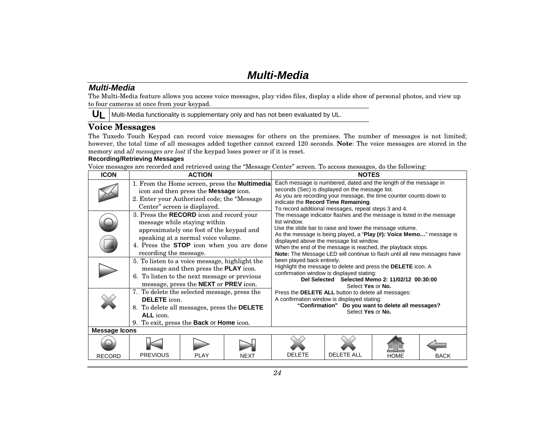# **Multi-Media**

#### **Multi-Media**

The Multi-Media feature allows you access voice messages, play video files, display a slide show of personal photos, and view up to four cameras at once from your keypad.

**UL**Multi-Media functionality is supplementary only and has not been evaluated by UL.

### **Voice Messages**

The Tuxedo Touch Keypad can record voice messages for others on the premises. The number of messages is not limited; however, the total time of all messages added together cannot exceed 120 seconds. **Note**: The voice messages are stored in the memory and a*ll messages are lost* if the keypad loses power or if it is reset.

#### **Recording/Retrieving Messages**

Voice messages are recorded and retrieved using the "Message Center" screen. To access messages, do the following:

| <b>ICON</b>          |                                                                                                                                                                                           | <b>ACTION</b>                                                                                                  |                                               | <b>NOTES</b>                                                                                                                                                                                                                                                                                                                                                                                                                                                                                                                                                                                                                                                                                                 |                                                                         |             |             |  |
|----------------------|-------------------------------------------------------------------------------------------------------------------------------------------------------------------------------------------|----------------------------------------------------------------------------------------------------------------|-----------------------------------------------|--------------------------------------------------------------------------------------------------------------------------------------------------------------------------------------------------------------------------------------------------------------------------------------------------------------------------------------------------------------------------------------------------------------------------------------------------------------------------------------------------------------------------------------------------------------------------------------------------------------------------------------------------------------------------------------------------------------|-------------------------------------------------------------------------|-------------|-------------|--|
|                      | 2. Enter your Authorized code; the "Message                                                                                                                                               | icon and then press the Message icon.<br>Center" screen is displayed.                                          | 1. From the Home screen, press the Multimedia | Each message is numbered, dated and the length of the message in<br>seconds (Sec) is displayed on the message list.<br>As you are recording your message, the time counter counts down to<br>indicate the Record Time Remaining.<br>To record additional messages, repeat steps 3 and 4.<br>The message indicator flashes and the message is listed in the message<br>list window.<br>Use the slide bar to raise and lower the message volume.<br>As the message is being played, a "Play (#): Voice Memo" message is<br>displayed above the message list window.<br>When the end of the message is reached, the playback stops.<br>Note: The Message LED will continue to flash until all new messages have |                                                                         |             |             |  |
|                      | 3. Press the <b>RECORD</b> icon and record your<br>4. Press the STOP icon when you are done<br>recording the message.                                                                     | message while staying within<br>approximately one foot of the keypad and<br>speaking at a normal voice volume. |                                               |                                                                                                                                                                                                                                                                                                                                                                                                                                                                                                                                                                                                                                                                                                              |                                                                         |             |             |  |
|                      | 5. To listen to a voice message, highlight the<br>6. To listen to the next message or previous                                                                                            | message and then press the <b>PLAY</b> icon.<br>message, press the NEXT or PREV icon.                          |                                               | been played back entirely.<br>Highlight the message to delete and press the <b>DELETE</b> icon. A<br>confirmation window is displayed stating:<br>Del Selected Selected Memo 2: 11/02/12 00:30:00<br>Select Yes or No.                                                                                                                                                                                                                                                                                                                                                                                                                                                                                       |                                                                         |             |             |  |
|                      | 7. To delete the selected message, press the<br><b>DELETE</b> icon.<br>8. To delete all messages, press the DELETE<br>ALL icon.<br>9. To exit, press the <b>Back</b> or <b>Home</b> icon. |                                                                                                                |                                               | Press the DELETE ALL button to delete all messages:<br>A confirmation window is displayed stating:                                                                                                                                                                                                                                                                                                                                                                                                                                                                                                                                                                                                           | "Confirmation" Do you want to delete all messages?<br>Select Yes or No. |             |             |  |
| <b>Message Icons</b> |                                                                                                                                                                                           |                                                                                                                |                                               |                                                                                                                                                                                                                                                                                                                                                                                                                                                                                                                                                                                                                                                                                                              |                                                                         |             |             |  |
|                      |                                                                                                                                                                                           |                                                                                                                |                                               |                                                                                                                                                                                                                                                                                                                                                                                                                                                                                                                                                                                                                                                                                                              |                                                                         |             |             |  |
| <b>RECORD</b>        | <b>PREVIOUS</b>                                                                                                                                                                           | <b>PLAY</b>                                                                                                    | <b>NEXT</b>                                   | <b>DELETE</b>                                                                                                                                                                                                                                                                                                                                                                                                                                                                                                                                                                                                                                                                                                | <b>DELETE ALL</b>                                                       | <b>HOME</b> | <b>BACK</b> |  |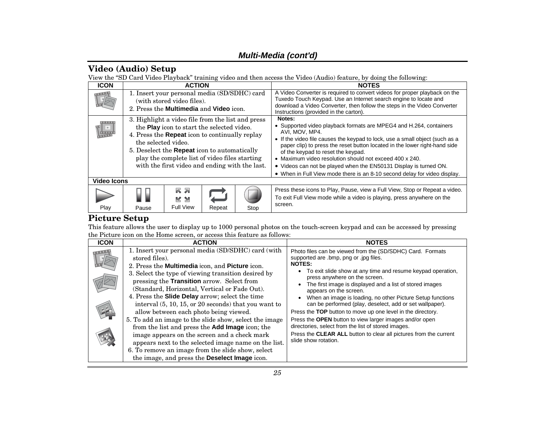### **Multi-Media (cont'd)**

### **Video (Audio) Setup**

View the "SD Card Video Playback" training video and then access the Video (Audio) feature, by doing the following:

| <b>ICON</b>                  | <b>ACTION</b>                                                                                                                                                                                                                                                                                                                              |                                                                                                                                     |        |      | <b>NOTES</b>                                                                                                                                                                                                                                                                                                                                                                                                                                                                                                    |  |  |
|------------------------------|--------------------------------------------------------------------------------------------------------------------------------------------------------------------------------------------------------------------------------------------------------------------------------------------------------------------------------------------|-------------------------------------------------------------------------------------------------------------------------------------|--------|------|-----------------------------------------------------------------------------------------------------------------------------------------------------------------------------------------------------------------------------------------------------------------------------------------------------------------------------------------------------------------------------------------------------------------------------------------------------------------------------------------------------------------|--|--|
| <b>TANK AND</b>              |                                                                                                                                                                                                                                                                                                                                            | 1. Insert your personal media (SD/SDHC) card<br>(with stored video files).<br>2. Press the <b>Multimedia</b> and <b>Video</b> icon. |        |      | A Video Converter is required to convert videos for proper playback on the<br>Tuxedo Touch Keypad. Use an Internet search engine to locate and<br>download a Video Converter, then follow the steps in the Video Converter<br>Instructions (provided in the carton).                                                                                                                                                                                                                                            |  |  |
| $\vert \hspace{.06cm} \vert$ | 3. Highlight a video file from the list and press<br>the Play icon to start the selected video.<br>4. Press the <b>Repeat</b> icon to continually replay<br>the selected video.<br>5. Deselect the <b>Repeat</b> icon to automatically<br>play the complete list of video files starting<br>with the first video and ending with the last. |                                                                                                                                     |        |      | Notes:<br>• Supported video playback formats are MPEG4 and H.264, containers<br>AVI, MOV, MP4.<br>• If the video file causes the keypad to lock, use a small object (such as a<br>paper clip) to press the reset button located in the lower right-hand side<br>of the keypad to reset the keypad.<br>• Maximum video resolution should not exceed 400 x 240.<br>. Videos can not be played when the EN50131 Display is turned ON.<br>• When in Full View mode there is an 8-10 second delay for video display. |  |  |
| Video Icons                  |                                                                                                                                                                                                                                                                                                                                            |                                                                                                                                     |        |      |                                                                                                                                                                                                                                                                                                                                                                                                                                                                                                                 |  |  |
| Play                         | Pause                                                                                                                                                                                                                                                                                                                                      | RZ<br>K N<br><b>Full View</b>                                                                                                       | Repeat | Stop | Press these icons to Play, Pause, view a Full View, Stop or Repeat a video.<br>To exit Full View mode while a video is playing, press anywhere on the<br>screen.                                                                                                                                                                                                                                                                                                                                                |  |  |

### **Picture Setup**

This feature allows the user to display up to 1000 personal photos on the touch-screen keypad and can be accessed by pressing the Picture icon on the Home screen, or access this feature as follows:

| <b>ICON</b> | <b>ACTION</b>                                                                                                                                                                                                                                                                                                                                                                                                                                                                                                                                                                                                                                                                                                                                                                        | <b>NOTES</b>                                                                                                                                                                                                                                                                                                                                                                                                                                                                                                                                                                                                                                                                                                          |
|-------------|--------------------------------------------------------------------------------------------------------------------------------------------------------------------------------------------------------------------------------------------------------------------------------------------------------------------------------------------------------------------------------------------------------------------------------------------------------------------------------------------------------------------------------------------------------------------------------------------------------------------------------------------------------------------------------------------------------------------------------------------------------------------------------------|-----------------------------------------------------------------------------------------------------------------------------------------------------------------------------------------------------------------------------------------------------------------------------------------------------------------------------------------------------------------------------------------------------------------------------------------------------------------------------------------------------------------------------------------------------------------------------------------------------------------------------------------------------------------------------------------------------------------------|
|             | 1. Insert your personal media (SD/SDHC) card (with<br>stored files).<br>2. Press the <b>Multimedia</b> icon, and <b>Picture</b> icon.<br>3. Select the type of viewing transition desired by<br>pressing the <b>Transition</b> arrow. Select from<br>(Standard, Horizontal, Vertical or Fade Out).<br>4. Press the Slide Delay arrow; select the time<br>interval $(5, 10, 15, or 20$ seconds) that you want to<br>allow between each photo being viewed.<br>5. To add an image to the slide show, select the image<br>from the list and press the Add Image icon; the<br>image appears on the screen and a check mark<br>appears next to the selected image name on the list.<br>6. To remove an image from the slide show, select<br>the image, and press the Deselect Image icon. | Photo files can be viewed from the (SD/SDHC) Card. Formats<br>supported are .bmp, png or .jpg files.<br><b>NOTES:</b><br>• To exit slide show at any time and resume keypad operation,<br>press anywhere on the screen.<br>The first image is displayed and a list of stored images<br>appears on the screen.<br>When an image is loading, no other Picture Setup functions<br>can be performed (play, deselect, add or set wallpaper).<br>Press the TOP button to move up one level in the directory.<br>Press the OPEN button to view larger images and/or open<br>directories, select from the list of stored images.<br>Press the CLEAR ALL button to clear all pictures from the current<br>slide show rotation. |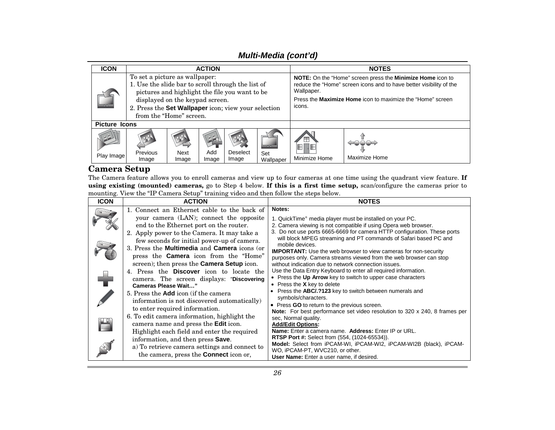### **Multi-Media (cont'd)**

| <b>ICON</b>          | <b>ACTION</b>                                                                                                                                                                                                                                                |                      |              |                   |                        | <b>NOTES</b>                                                                                                                                                                                                                   |               |  |
|----------------------|--------------------------------------------------------------------------------------------------------------------------------------------------------------------------------------------------------------------------------------------------------------|----------------------|--------------|-------------------|------------------------|--------------------------------------------------------------------------------------------------------------------------------------------------------------------------------------------------------------------------------|---------------|--|
| 00                   | To set a picture as wallpaper:<br>1. Use the slide bar to scroll through the list of<br>pictures and highlight the file you want to be<br>displayed on the keypad screen.<br>2. Press the Set Wallpaper icon; view your selection<br>from the "Home" screen. |                      |              |                   |                        | NOTE: On the "Home" screen press the Minimize Home icon to<br>reduce the "Home" screen icons and to have better visibility of the<br>Wallpaper.<br>Press the <b>Maximize Home</b> icon to maximize the "Home" screen<br>icons. |               |  |
| <b>Picture Icons</b> |                                                                                                                                                                                                                                                              |                      |              |                   |                        |                                                                                                                                                                                                                                |               |  |
| Play Image           | Previous<br>Image                                                                                                                                                                                                                                            | <b>Next</b><br>Image | Add<br>Image | Deselect<br>Image | 00<br>Set<br>Wallpaper | H<br>Minimize Home                                                                                                                                                                                                             | Maximize Home |  |

### **Camera Setup**

The Camera feature allows you to enroll cameras and view up to four cameras at one time using the quadrant view feature. **If using existing (mounted) cameras,** go to Step 4 below. **If this is a first time setup,** scan/configure the cameras prior to mounting. View the "IP Camera Setup" training video and then follow the steps below.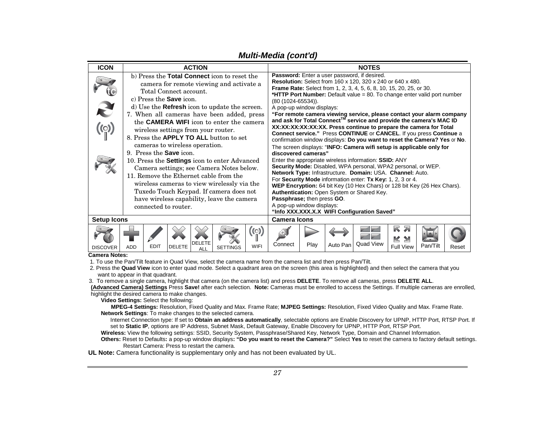| <b>ICON</b>                                            |                                                                                                                                                                                                                                                                                                                                                                                                                                                                                                                                                                                                                                                                                                                                                                              |               | <b>ACTION</b>        |                                                                                                                                   |              |         |                                                                                                                                                                                                                                                                                                                                                                                                                                                                                                                                                                                                                                                                                                                                                                                                                                                                                                                                                                                                                                                                                                                                                                  |          | <b>NOTES</b>     |                                                                        |          |       |
|--------------------------------------------------------|------------------------------------------------------------------------------------------------------------------------------------------------------------------------------------------------------------------------------------------------------------------------------------------------------------------------------------------------------------------------------------------------------------------------------------------------------------------------------------------------------------------------------------------------------------------------------------------------------------------------------------------------------------------------------------------------------------------------------------------------------------------------------|---------------|----------------------|-----------------------------------------------------------------------------------------------------------------------------------|--------------|---------|------------------------------------------------------------------------------------------------------------------------------------------------------------------------------------------------------------------------------------------------------------------------------------------------------------------------------------------------------------------------------------------------------------------------------------------------------------------------------------------------------------------------------------------------------------------------------------------------------------------------------------------------------------------------------------------------------------------------------------------------------------------------------------------------------------------------------------------------------------------------------------------------------------------------------------------------------------------------------------------------------------------------------------------------------------------------------------------------------------------------------------------------------------------|----------|------------------|------------------------------------------------------------------------|----------|-------|
| S<br>$\left(\begin{matrix} 0 \\ 0 \end{matrix}\right)$ | b) Press the Total Connect icon to reset the<br>camera for remote viewing and activate a<br>Total Connect account.<br>$c)$ Press the Save icon.<br>d) Use the Refresh icon to update the screen.<br>7. When all cameras have been added, press<br>the <b>CAMERA WIFI</b> icon to enter the camera<br>wireless settings from your router.<br>8. Press the <b>APPLY TO ALL</b> button to set<br>cameras to wireless operation.<br>9. Press the <b>Save</b> icon.<br>10. Press the <b>Settings</b> icon to enter Advanced<br>Camera settings; see Camera Notes below.<br>11. Remove the Ethernet cable from the<br>wireless cameras to view wirelessly via the<br>Tuxedo Touch Keypad. If camera does not<br>have wireless capability, leave the camera<br>connected to router. |               |                      | (80 (1024-65534)).<br>A pop-up window displays:<br>discovered cameras"<br>Passphrase; then press GO.<br>A pop-up window displays: |              |         | Password: Enter a user password, if desired.<br>Resolution: Select from 160 x 120, 320 x 240 or 640 x 480.<br><b>Frame Rate:</b> Select from 1, 2, 3, 4, 5, 6, 8, 10, 15, 20, 25, or 30.<br><b>*HTTP Port Number:</b> Default value = 80. To change enter valid port number<br>"For remote camera viewing service, please contact your alarm company<br>and ask for Total Connect™ service and provide the camera's MAC ID<br>XX:XX:XX:XX:XX:XX. Press continue to prepare the camera for Total<br><b>Connect service."</b> Press CONTINUE or CANCEL. If you press Continue a<br>confirmation window displays: Do you want to reset the Camera? Yes or No.<br>The screen displays: "INFO: Camera wifi setup is applicable only for<br>Enter the appropriate wireless information: SSID: ANY<br>Security Mode: Disabled, WPA personal, WPA2 personal, or WEP.<br>Network Type: Infrastructure. Domain: USA. Channel: Auto.<br>For Security Mode information enter: Tx Key: 1, 2, 3 or 4.<br>WEP Encryption: 64 bit Key (10 Hex Chars) or 128 bit Key (26 Hex Chars).<br>Authentication: Open System or Shared Key.<br>"Info XXX.XXX.X.X WIFI Configuration Saved" |          |                  |                                                                        |          |       |
| <b>Setup Icons</b>                                     |                                                                                                                                                                                                                                                                                                                                                                                                                                                                                                                                                                                                                                                                                                                                                                              |               | <b>Camera Icons</b>  |                                                                                                                                   |              |         |                                                                                                                                                                                                                                                                                                                                                                                                                                                                                                                                                                                                                                                                                                                                                                                                                                                                                                                                                                                                                                                                                                                                                                  |          |                  |                                                                        |          |       |
| <b>DISCOVER</b>                                        | <b>EDIT</b><br><b>ADD</b>                                                                                                                                                                                                                                                                                                                                                                                                                                                                                                                                                                                                                                                                                                                                                    | <b>DELETE</b> | <b>DELETE</b><br>ALL | <b>SETTINGS</b>                                                                                                                   | ((ල)<br>WIFI | Connect | Play                                                                                                                                                                                                                                                                                                                                                                                                                                                                                                                                                                                                                                                                                                                                                                                                                                                                                                                                                                                                                                                                                                                                                             | Auto Pan | <b>Quad View</b> | R<br>$\overline{\mathbf{z}}$<br>K<br>$\rightarrow$<br><b>Full View</b> | Pan/Tilt | Reset |
|                                                        | <b>Camera Notes:</b><br>$\sim$ FFM for a finite                                                                                                                                                                                                                                                                                                                                                                                                                                                                                                                                                                                                                                                                                                                              |               |                      |                                                                                                                                   |              |         |                                                                                                                                                                                                                                                                                                                                                                                                                                                                                                                                                                                                                                                                                                                                                                                                                                                                                                                                                                                                                                                                                                                                                                  |          |                  |                                                                        |          |       |

#### **Multi-Media (cont'd)**

1. To use the Pan/Tilt feature in Quad View, select the camera name from the camera list and then press Pan/Tilt.

 2. Press the **Quad View** icon to enter quad mode. Select a quadrant area on the screen (this area is highlighted) and then select the camera that you want to appear in that quadrant.

3. To remove a single camera, highlight that camera (on the camera list) and press **DELETE**. To remove all cameras, press **DELETE ALL**.

**(Advanced Camera) Settings** Press **Save!** after each selection. **Note:** Cameras must be enrolled to access the Settings. If multiple cameras are enrolled, highlight the desired camera to make changes.

 **Video Settings:** Select the following:

**MPEG-4 Settings:** Resolution, Fixed Quality and Max. Frame Rate; **MJPEG Settings:** Resolution, Fixed Video Quality and Max. Frame Rate. **Network Settings**: To make changes to the selected camera.

Internet Connection type: If set to **Obtain an address automatically**, selectable options are Enable Discovery for UPNP, HTTP Port, RTSP Port. If set to **Static IP**, options are IP Address, Subnet Mask, Default Gateway, Enable Discovery for UPNP, HTTP Port, RTSP Port.

**Wireless:** View the following settings: SSID, Security System, Passphrase/Shared Key, Network Type, Domain and Channel Information.

**Others:** Reset to Defaults**:** a pop-up window displays**: "Do you want to reset the Camera?"** Select **Yes** to reset the camera to factory default settings. Restart Camera: Press to restart the camera.

**UL Note:** Camera functionality is supplementary only and has not been evaluated by UL.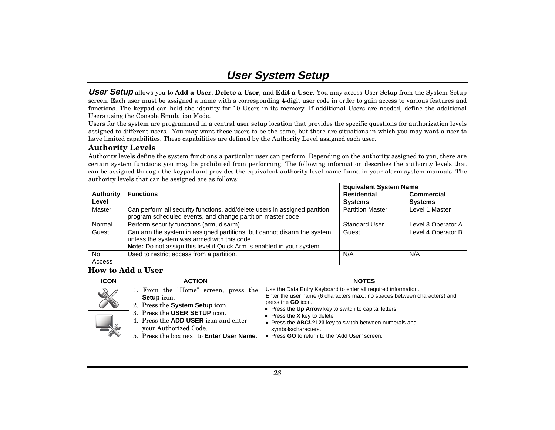# **User System Setup**

**User Setup** allows you to **Add a User**, **Delete a User**, and **Edit a User**. You may access User Setup from the System Setup screen. Each user must be assigned a name with a corresponding 4-digit user code in order to gain access to various features and functions. The keypad can hold the identity for 10 Users in its memory. If additional Users are needed, define the additional Users using the Console Emulation Mode.

Users for the system are programmed in a central user setup location that provides the specific questions for authorization levels assigned to different users. You may want these users to be the same, but there are situations in which you may want a user to have limited capabilities. These capabilities are defined by the Authority Level assigned each user.

#### **Authority Levels**

Authority levels define the system functions a particular user can perform. Depending on the authority assigned to you, there are certain system functions you may be prohibited from performing. The following information describes the authority levels that can be assigned through the keypad and provides the equivalent authority level name found in your alarm system manuals. The authority levels that can be assigned are as follows:

|                  |                                                                             | <b>Equivalent System Name</b> |                    |
|------------------|-----------------------------------------------------------------------------|-------------------------------|--------------------|
| <b>Authority</b> | <b>Functions</b>                                                            | <b>Residential</b>            | <b>Commercial</b>  |
| Level            |                                                                             | <b>Systems</b>                | <b>Systems</b>     |
| Master           | Can perform all security functions, add/delete users in assigned partition, | <b>Partition Master</b>       | Level 1 Master     |
|                  | program scheduled events, and change partition master code                  |                               |                    |
| Normal           | Perform security functions (arm, disarm)                                    | <b>Standard User</b>          | Level 3 Operator A |
| Guest            | Can arm the system in assigned partitions, but cannot disarm the system     | Guest                         | Level 4 Operator B |
|                  | unless the system was armed with this code.                                 |                               |                    |
|                  | Note: Do not assign this level if Quick Arm is enabled in your system.      |                               |                    |
| No.              | Used to restrict access from a partition.                                   | N/A                           | N/A                |
| Access           |                                                                             |                               |                    |

**How to Add a User** 

| <b>ICON</b>        | <b>ACTION</b>                                                                                                                                                                                                                                              | <b>NOTES</b>                                                                                                                                                                                                                                                                                                                                                                                            |
|--------------------|------------------------------------------------------------------------------------------------------------------------------------------------------------------------------------------------------------------------------------------------------------|---------------------------------------------------------------------------------------------------------------------------------------------------------------------------------------------------------------------------------------------------------------------------------------------------------------------------------------------------------------------------------------------------------|
| X<br>$\rightarrow$ | 1. From the "Home" screen, press the<br><b>Setup</b> icon.<br>2. Press the System Setup icon.<br>3. Press the USER SETUP icon.<br>4. Press the <b>ADD USER</b> icon and enter<br>your Authorized Code.<br>5. Press the box next to <b>Enter User Name.</b> | Use the Data Entry Keyboard to enter all required information.<br>Enter the user name (6 characters max.; no spaces between characters) and<br>press the <b>GO</b> icon.<br>• Press the Up Arrow key to switch to capital letters<br>• Press the $X$ key to delete<br>• Press the ABC/.?123 key to switch between numerals and<br>symbols/characters.<br>• Press GO to return to the "Add User" screen. |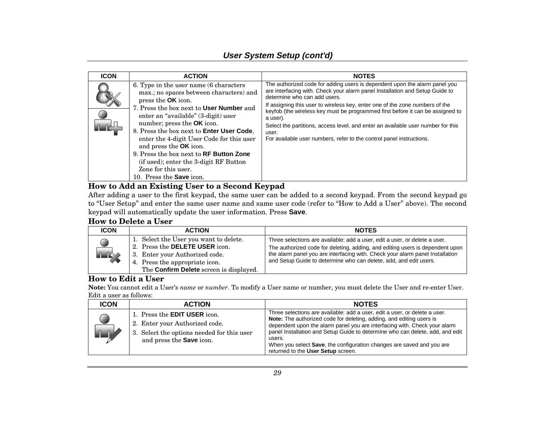### **User System Setup (cont'd)**

| <b>ICON</b> | <b>ACTION</b>                                                                                                                                                                                                                                                                                                                                                                                                                                                                                              | <b>NOTES</b>                                                                                                                                                                                                                                                                                                                                                                                                                                                                                                                                  |
|-------------|------------------------------------------------------------------------------------------------------------------------------------------------------------------------------------------------------------------------------------------------------------------------------------------------------------------------------------------------------------------------------------------------------------------------------------------------------------------------------------------------------------|-----------------------------------------------------------------------------------------------------------------------------------------------------------------------------------------------------------------------------------------------------------------------------------------------------------------------------------------------------------------------------------------------------------------------------------------------------------------------------------------------------------------------------------------------|
|             | 6. Type in the user name (6 characters)<br>max.; no spaces between characters) and<br>press the <b>OK</b> icon.<br>7. Press the box next to User Number and<br>enter an "available" (3-digit) user<br>number; press the OK icon.<br>8. Press the box next to Enter User Code,<br>enter the 4-digit User Code for this user<br>and press the <b>OK</b> icon.<br>9. Press the box next to RF Button Zone<br>(if used); enter the 3-digit RF Button<br>Zone for this user.<br>10. Press the <b>Save</b> icon. | The authorized code for adding users is dependent upon the alarm panel you<br>are interfacing with. Check your alarm panel Installation and Setup Guide to<br>determine who can add users.<br>If assigning this user to wireless key, enter one of the zone numbers of the<br>keyfob (the wireless key must be programmed first before it can be assigned to<br>a user).<br>Select the partitions, access level, and enter an available user number for this<br>user.<br>For available user numbers, refer to the control panel instructions. |

#### **How to Add an Existing User to a Second Keypad**

After adding a user to the first keypad, the same user can be added to a second keypad. From the second keypad go to "User Setup" and enter the same user name and same user code (refer to "How to Add a User" above). The second keypad will automatically update the user information. Press **Save**.

### **How to Delete a User**

| <b>ICON</b> | <b>ACTION</b>                                                                                                                                                                                         | <b>NOTES</b>                                                                                                                                                                                                                                                                                                      |
|-------------|-------------------------------------------------------------------------------------------------------------------------------------------------------------------------------------------------------|-------------------------------------------------------------------------------------------------------------------------------------------------------------------------------------------------------------------------------------------------------------------------------------------------------------------|
| <b>LIX</b>  | 1. Select the User you want to delete.<br>2. Press the <b>DELETE USER</b> icon.<br>3. Enter your Authorized code.<br>4. Press the appropriate icon.<br>The <b>Confirm Delete</b> screen is displayed. | Three selections are available: add a user, edit a user, or delete a user.<br>The authorized code for deleting, adding, and editing users is dependent upon<br>the alarm panel you are interfacing with. Check your alarm panel Installation<br>and Setup Guide to determine who can delete, add, and edit users. |

#### **How to Edit a User**

**Note:** You cannot edit a User's *name* or *number*. To modify a User name or number, you must delete the User and re-enter User. Edit a user as follows:

| <b>ICON</b> | <b>ACTION</b>                                                                                                                                          | <b>NOTES</b>                                                                                                                                                                                                                                                                                                                                                                                                                                      |
|-------------|--------------------------------------------------------------------------------------------------------------------------------------------------------|---------------------------------------------------------------------------------------------------------------------------------------------------------------------------------------------------------------------------------------------------------------------------------------------------------------------------------------------------------------------------------------------------------------------------------------------------|
| <b>ALV</b>  | 1. Press the <b>EDIT USER</b> icon.<br>2. Enter your Authorized code.<br>3. Select the options needed for this user<br>and press the <b>Save</b> icon. | Three selections are available: add a user, edit a user, or delete a user.<br>Note: The authorized code for deleting, adding, and editing users is<br>dependent upon the alarm panel you are interfacing with. Check your alarm<br>panel Installation and Setup Guide to determine who can delete, add, and edit<br>users.<br>When you select <b>Save</b> , the configuration changes are saved and you are<br>returned to the User Setup screen. |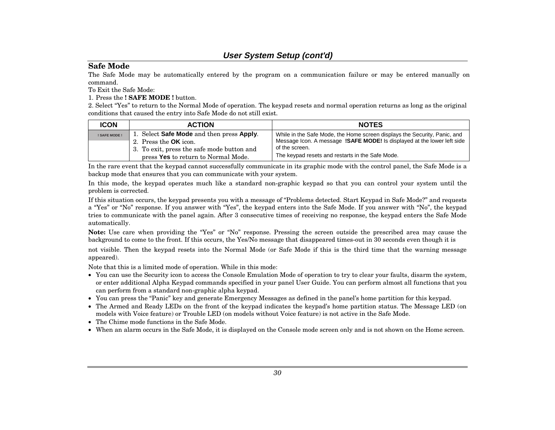#### **User System Setup (cont'd)**

#### **Safe Mode**

The Safe Mode may be automatically entered by the program on a communication failure or may be entered manually on command.

To Exit the Safe Mode:

1. Press the **! SAFE MODE !** button.

2. Select "Yes" to return to the Normal Mode of operation. The keypad resets and normal operation returns as long as the original conditions that caused the entry into Safe Mode do not still exist.

| <b>ICON</b>   | <b>ACTION</b>                              | <b>NOTES</b>                                                                   |
|---------------|--------------------------------------------|--------------------------------------------------------------------------------|
| ! SAFE MODE ! | Select Safe Mode and then press Apply.     | While in the Safe Mode, the Home screen displays the Security, Panic, and      |
|               | 2. Press the <b>OK</b> icon.               | Message Icon. A message <b>!SAFE MODE!</b> Is displayed at the lower left side |
|               | 3. To exit, press the safe mode button and | of the screen.                                                                 |
|               | press Yes to return to Normal Mode.        | The keypad resets and restarts in the Safe Mode.                               |

In the rare event that the keypad cannot successfully communicate in its graphic mode with the control panel, the Safe Mode is a backup mode that ensures that you can communicate with your system.

In this mode, the keypad operates much like a standard non-graphic keypad so that you can control your system until the problem is corrected.

If this situation occurs, the keypad presents you with a message of "Problems detected. Start Keypad in Safe Mode?" and requests <sup>a</sup>"Yes" or "No" response. If you answer with "Yes", the keypad enters into the Safe Mode. If you answer with "No", the keypad tries to communicate with the panel again. After 3 consecutive times of receiving no response, the keypad enters the Safe Mode automatically.

**Note:** Use care when providing the "Yes" or "No" response. Pressing the screen outside the prescribed area may cause the background to come to the front. If this occurs, the Yes/No message that disappeared times-out in 30 seconds even though it is

not visible. Then the keypad resets into the Normal Mode (or Safe Mode if this is the third time that the warning message appeared).

Note that this is a limited mode of operation. While in this mode:

- You can use the Security icon to access the Console Emulation Mode of operation to try to clear your faults, disarm the system, or enter additional Alpha Keypad commands specified in your panel User Guide. You can perform almost all functions that you can perform from a standard non-graphic alpha keypad.
- You can press the "Panic" key and generate Emergency Messages as defined in the panel's home partition for this keypad.
- The Armed and Ready LEDs on the front of the keypad indicates the keypad's home partition status. The Message LED (on models with Voice feature) or Trouble LED (on models without Voice feature) is not active in the Safe Mode.
- The Chime mode functions in the Safe Mode.
- When an alarm occurs in the Safe Mode, it is displayed on the Console mode screen only and is not shown on the Home screen.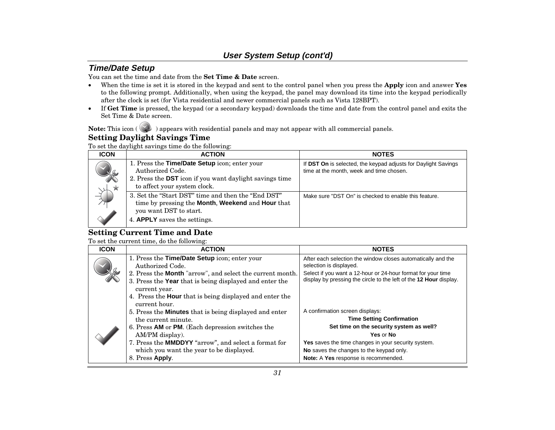### **Time/Date Setup**

You can set the time and date from the **Set Time & Date** screen.

- • When the time is set it is stored in the keypad and sent to the control panel when you press the **Apply** icon and answer **Yes** to the following prompt. Additionally, when using the keypad, the panel may download its time into the keypad periodically after the clock is set (for Vista residential and newer commercial panels such as Vista 128BPT).
- • If **Get Time** is pressed, the keypad (or a secondary keypad) downloads the time and date from the control panel and exits the Set Time & Date screen.

Note: This icon ( $\Diamond$ ) appears with residential panels and may not appear with all commercial panels.

### **Setting Daylight Savings Time**

To set the daylight savings time do the following:

| <b>ICON</b>          | <b>ACTION</b>                                                                                                                                                       | <b>NOTES</b>                                                                                               |
|----------------------|---------------------------------------------------------------------------------------------------------------------------------------------------------------------|------------------------------------------------------------------------------------------------------------|
| <b>CALL AND</b><br>★ | 1. Press the <b>Time/Date Setup</b> icon; enter your<br>Authorized Code.<br>2. Press the DST icon if you want daylight savings time<br>to affect your system clock. | If DST On is selected, the keypad adjusts for Daylight Savings<br>time at the month, week and time chosen. |
|                      | 3. Set the "Start DST" time and then the "End DST"<br>time by pressing the Month, Weekend and Hour that<br>you want DST to start.<br>4. APPLY saves the settings.   | Make sure "DST On" is checked to enable this feature.                                                      |

### **Setting Current Time and Date**

To set the current time, do the following:

| <b>ICON</b> | <b>ACTION</b>                                                                                                                         | <b>NOTES</b>                                                                                                                       |
|-------------|---------------------------------------------------------------------------------------------------------------------------------------|------------------------------------------------------------------------------------------------------------------------------------|
|             | 1. Press the Time/Date Setup icon; enter your<br>Authorized Code.                                                                     | After each selection the window closes automatically and the<br>selection is displayed.                                            |
|             | 2. Press the Month "arrow", and select the current month.<br>3. Press the Year that is being displayed and enter the<br>current year. | Select if you want a 12-hour or 24-hour format for your time<br>display by pressing the circle to the left of the 12 Hour display. |
|             | 4. Press the <b>Hour</b> that is being displayed and enter the<br>current hour.                                                       |                                                                                                                                    |
|             | 5. Press the <b>Minutes</b> that is being displayed and enter<br>the current minute.                                                  | A confirmation screen displays:<br><b>Time Setting Confirmation</b>                                                                |
|             | 6. Press <b>AM</b> or <b>PM.</b> (Each depression switches the<br>AM/PM display).                                                     | Set time on the security system as well?<br>Yes or No                                                                              |
|             | 7. Press the <b>MMDDYY</b> "arrow", and select a format for<br>which you want the year to be displayed.                               | <b>Yes</b> saves the time changes in your security system.<br>No saves the changes to the keypad only.                             |
|             | 8. Press Apply.                                                                                                                       | Note: A Yes response is recommended.                                                                                               |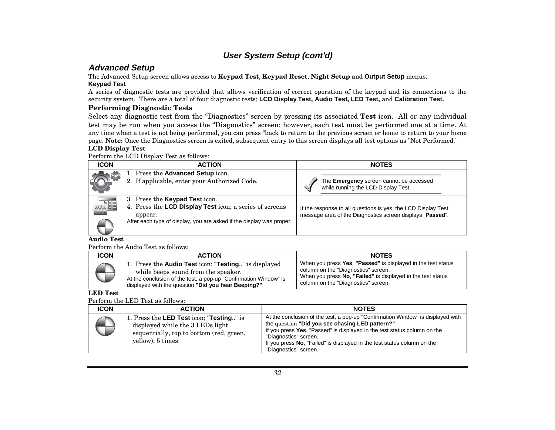### **Advanced Setup**

The Advanced Setup screen allows access to **Keypad Test**, **Keypad Reset**, **Night Setup** and **Output Setup** menus.

#### **Keypad Test**

A series of diagnostic tests are provided that allows verification of correct operation of the keypad and its connections to the security system. There are a total of four diagnostic tests; **LCD Display Test, Audio Test, LED Test,** and **Calibration Test.**

#### **Performing Diagnostic Tests**

Select any diagnostic test from the "Diagnostics" screen by pressing its associated **Test** icon. All or any individual test may be run when you access the "Diagnostics" screen; however, each test must be performed one at a time. At any time when a test is not being performed, you can press "back to return to the previous screen or home to return to your home page. **Note:** Once the Diagnostics screen is exited, subsequent entry to this screen displays all test options as "Not Performed."

#### **LCD Display Test**

Perform the LCD Display Test as follows:

| <b>ICON</b> | <b>ACTION</b>                                                                                                                                                                       | <b>NOTES</b>                                                                                                               |
|-------------|-------------------------------------------------------------------------------------------------------------------------------------------------------------------------------------|----------------------------------------------------------------------------------------------------------------------------|
|             | 1. Press the Advanced Setup icon.<br>2. If applicable, enter your Authorized Code.                                                                                                  | The Emergency screen cannot be accessed<br>while running the LCD Display Test.                                             |
| 886         | 3. Press the <b>Keypad Test</b> icon.<br>4. Press the LCD Display Test icon; a series of screens<br>appear.<br>After each type of display, you are asked if the display was proper. | If the response to all questions is yes, the LCD Display Test<br>message area of the Diagnostics screen displays "Passed". |

#### **Audio Test**

Perform the Audio Test as follows:

| <b>ICON</b> | <b>ACTION</b>                                                                                                                                                                                                                          | <b>NOTES</b>                                                                                                                                                                                              |
|-------------|----------------------------------------------------------------------------------------------------------------------------------------------------------------------------------------------------------------------------------------|-----------------------------------------------------------------------------------------------------------------------------------------------------------------------------------------------------------|
|             | 1. Press the <b>Audio Test</b> icon; " <b>Testing</b> " is displayed<br>while beeps sound from the speaker.<br>At the conclusion of the test, a pop-up "Confirmation Window" is<br>displayed with the question "Did you hear Beeping?" | When you press Yes, "Passed" is displayed in the test status<br>column on the "Diagnostics" screen.<br>When you press No, "Failed" is displayed in the test status<br>column on the "Diagnostics" screen. |

#### **LED Test**

Perform the LED Test as follows:

| <b>ICON</b> | <b>ACTION</b>                                                                                                                                 | <b>NOTES</b>                                                                                                                                                                                                                                                                                                                                |
|-------------|-----------------------------------------------------------------------------------------------------------------------------------------------|---------------------------------------------------------------------------------------------------------------------------------------------------------------------------------------------------------------------------------------------------------------------------------------------------------------------------------------------|
|             | 1. Press the LED Test icon; "Testing" is<br>displayed while the 3 LEDs light<br>sequentially, top to bottom (red, green,<br>yellow), 5 times. | At the conclusion of the test, a pop-up "Confirmation Window" is displayed with<br>the question "Did you see chasing LED pattern?"<br>If you press Yes, "Passed" is displayed in the test status column on the<br>"Diagnostics" screen.<br>If you press No. "Failed" is displayed in the test status column on the<br>"Diagnostics" screen. |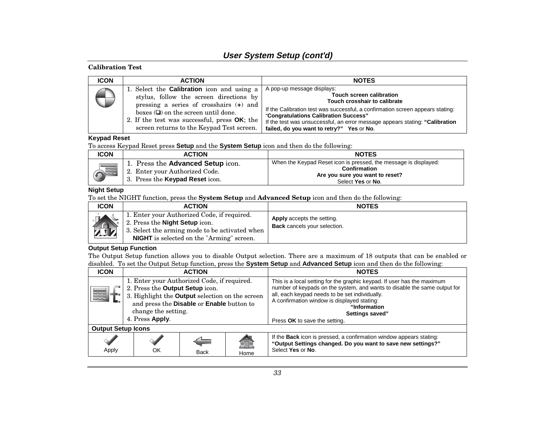#### **User System Setup (cont'd)**

#### **Calibration Test**

| <b>ICON</b> | <b>ACTION</b>                                                                                                                                                                                                                                                                      | <b>NOTES</b>                                                                                                                                                                                                                                                                                                                                           |
|-------------|------------------------------------------------------------------------------------------------------------------------------------------------------------------------------------------------------------------------------------------------------------------------------------|--------------------------------------------------------------------------------------------------------------------------------------------------------------------------------------------------------------------------------------------------------------------------------------------------------------------------------------------------------|
|             | 1. Select the <b>Calibration</b> icon and using a<br>stylus, follow the screen directions by<br>pressing a series of crosshairs $(+)$ and<br>boxes $(\Box)$ on the screen until done.<br>2. If the test was successful, press OK; the<br>screen returns to the Keypad Test screen. | A pop-up message displays:<br><b>Touch screen calibration</b><br>Touch crosshair to calibrate<br>If the Calibration test was successful, a confirmation screen appears stating:<br>"Congratulations Calibration Success"<br>If the test was unsuccessful, an error message appears stating: "Calibration"<br>failed, do you want to retry?" Yes or No. |

#### **Keypad Reset**

To access Keypad Reset press **Setup** and the **System Setup** icon and then do the following:

| <b>ICON</b> | <b>ACTION</b>                                                                                       | <b>NOTES</b>                                                                                                                             |
|-------------|-----------------------------------------------------------------------------------------------------|------------------------------------------------------------------------------------------------------------------------------------------|
| ,335        | Press the Advanced Setup icon.<br>2. Enter your Authorized Code.<br>3. Press the Keypad Reset icon. | When the Keypad Reset icon is pressed, the message is displayed:<br>Confirmation<br>Are you sure you want to reset?<br>Select Yes or No. |

#### **Night Setup**

To set the NIGHT function, press the **System Setup** and **Advanced Setup** icon and then do the following:

| <b>ICON</b> | <b>ACTION</b>                                                                                                                                                                              | <b>NOTES</b>                                                             |
|-------------|--------------------------------------------------------------------------------------------------------------------------------------------------------------------------------------------|--------------------------------------------------------------------------|
| <b>ARA</b>  | 1. Enter your Authorized Code, if required.<br>2. Press the <b>Night Setup</b> icon.<br>3. Select the arming mode to be activated when<br><b>NIGHT</b> is selected on the "Arming" screen. | <b>Apply</b> accepts the setting.<br><b>Back</b> cancels your selection. |

#### **Output Setup Function**

The Output Setup function allows you to disable Output selection. There are a maximum of 18 outputs that can be enabled or disabled. To set the Output Setup function, press the **System Setup** and **Advanced Setup** icon and then do the following:

| <b>ICON</b>               | <b>ACTION</b>                                                                                                                                                                                                                   |  |  | <b>NOTES</b>                                                                                                                                                                                                                                                                                                              |
|---------------------------|---------------------------------------------------------------------------------------------------------------------------------------------------------------------------------------------------------------------------------|--|--|---------------------------------------------------------------------------------------------------------------------------------------------------------------------------------------------------------------------------------------------------------------------------------------------------------------------------|
| 噩                         | 1. Enter your Authorized Code, if required.<br>2. Press the Output Setup icon.<br>3. Highlight the <b>Output</b> selection on the screen<br>and press the Disable or Enable button to<br>change the setting.<br>4. Press Apply. |  |  | This is a local setting for the graphic keypad. If user has the maximum<br>number of keypads on the system, and wants to disable the same output for<br>all, each keypad needs to be set individually.<br>A confirmation window is displayed stating:<br>"Information<br>Settings saved"<br>Press OK to save the setting. |
| <b>Output Setup Icons</b> |                                                                                                                                                                                                                                 |  |  |                                                                                                                                                                                                                                                                                                                           |
| Apply                     | 何回<br><b>Back</b><br>Home                                                                                                                                                                                                       |  |  | If the <b>Back</b> icon is pressed, a confirmation window appears stating:<br>"Output Settings changed. Do you want to save new settings?"<br>Select Yes or No.                                                                                                                                                           |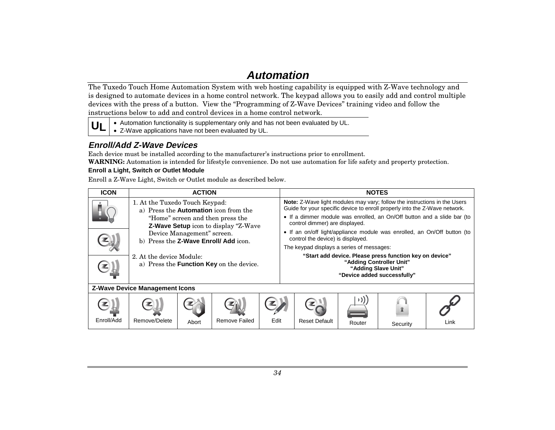# **Automation**

The Tuxedo Touch Home Automation System with web hosting capability is equipped with Z-Wave technology and is designed to automate devices in a home control network. The keypad allows you to easily add and control multiple devices with the press of a button. View the "Programming of Z-Wave Devices" training video and follow the instructions below to add and control devices in a home control network.

**UL**• Automation functionality is supplementary only and has not been evaluated by UL. • Z-Wave applications have not been evaluated by UL.

### **Enroll/Add Z-Wave Devices**

Each device must be installed according to the manufacturer's instructions prior to enrollment. **WARNING:** Automation is intended for lifestyle convenience. Do not use automation for life safety and property protection.

#### **Enroll a Light, Switch or Outlet Module**

Enroll a Z-Wave Light, Switch or Outlet module as described below.

| <b>ICON</b> | <b>ACTION</b>                                                                                                                                              |                                                                    |               |                                                                                                                                                                                                                                                                             |  |                                                                                | <b>NOTES</b>                                            |                                                                          |      |
|-------------|------------------------------------------------------------------------------------------------------------------------------------------------------------|--------------------------------------------------------------------|---------------|-----------------------------------------------------------------------------------------------------------------------------------------------------------------------------------------------------------------------------------------------------------------------------|--|--------------------------------------------------------------------------------|---------------------------------------------------------|--------------------------------------------------------------------------|------|
|             | 1. At the Tuxedo Touch Keypad:<br>a) Press the <b>Automation</b> icon from the<br>"Home" screen and then press the<br>Z-Wave Setup icon to display "Z-Wave |                                                                    |               | <b>Note:</b> Z-Wave light modules may vary; follow the instructions in the Users<br>Guide for your specific device to enroll properly into the Z-Wave network.<br>• If a dimmer module was enrolled, an On/Off button and a slide bar (to<br>control dimmer) are displayed. |  |                                                                                |                                                         |                                                                          |      |
|             |                                                                                                                                                            | Device Management" screen.<br>b) Press the Z-Wave Enroll/Add icon. |               |                                                                                                                                                                                                                                                                             |  | control the device) is displayed.<br>The keypad displays a series of messages: |                                                         | • If an on/off light/appliance module was enrolled, an On/Off button (to |      |
|             | 2. At the device Module:<br>a) Press the <b>Function Key</b> on the device.                                                                                |                                                                    |               |                                                                                                                                                                                                                                                                             |  | "Adding Controller Unit"<br>"Adding Slave Unit"<br>"Device added successfully" | "Start add device. Please press function key on device" |                                                                          |      |
|             | <b>Z-Wave Device Management Icons</b>                                                                                                                      |                                                                    |               |                                                                                                                                                                                                                                                                             |  |                                                                                |                                                         |                                                                          |      |
| Enroll/Add  | Remove/Delete                                                                                                                                              | Abort                                                              | Remove Failed | Edit                                                                                                                                                                                                                                                                        |  | <b>Reset Default</b>                                                           | $\mathcal{L}$<br>Router                                 | Security                                                                 | Link |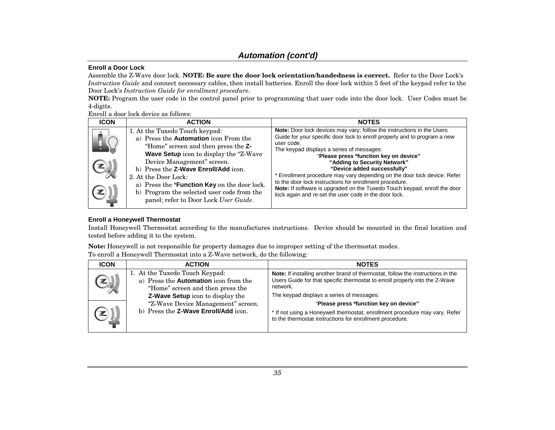#### **Enroll a Door Lock**

Assemble the Z-Wave door lock. **NOTE: Be sure the door lock orientation/handedness is correct.** Refer to the Door Lock's *Instruction Guide* and connect necessary cables, then install batteries. Enroll the door lock within 5 feet of the keypad refer to the Door Lock's *Instruction Guide for enrollment procedure.* 

**NOTE:** Program the user code in the control panel prior to programming that user code into the door lock. User Codes must be 4-digits.

#### Enroll a door lock device as follows:

| <b>ICON</b> | <b>ACTION</b>                                                                                                                                                                                                                                                                                                                                                                                         | <b>NOTES</b>                                                                                                                                                                                                                                                                                                                                                                                                                                                                                                                                                                                         |
|-------------|-------------------------------------------------------------------------------------------------------------------------------------------------------------------------------------------------------------------------------------------------------------------------------------------------------------------------------------------------------------------------------------------------------|------------------------------------------------------------------------------------------------------------------------------------------------------------------------------------------------------------------------------------------------------------------------------------------------------------------------------------------------------------------------------------------------------------------------------------------------------------------------------------------------------------------------------------------------------------------------------------------------------|
| ы<br>H      | 1. At the Tuxedo Touch keypad:<br>a) Press the Automation icon From the<br>"Home" screen and then press the Z-<br>Wave Setup icon to display the "Z-Wave<br>Device Management" screen.<br>b) Press the Z-Wave Enroll/Add icon.<br>2. At the Door Lock:<br>a) Press the * <b>Function Key</b> on the door lock.<br>b) Program the selected user code from the<br>panel; refer to Door Lock User Guide. | Note: Door lock devices may vary; follow the instructions in the Users<br>Guide for your specific door lock to enroll properly and to program a new<br>user code.<br>The keypad displays a series of messages:<br>"Please press *function key on device"<br>"Adding to Security Network"<br>"Device added successfully"<br>* Enrollment procedure may vary depending on the door lock device. Refer<br>to the door lock instructions for enrollment procedure.<br>Note: If software is upgraded on the Tuxedo Touch keypad, enroll the door<br>lock again and re-set the user code in the door lock. |
|             |                                                                                                                                                                                                                                                                                                                                                                                                       |                                                                                                                                                                                                                                                                                                                                                                                                                                                                                                                                                                                                      |

#### **Enroll a Honeywell Thermostat**

Install Honeywell Thermostat according to the manufactures instructions. Device should be mounted in the final location and tested before adding it to the system.

**Note:** Honeywell is not responsible for property damages due to improper setting of the thermostat modes.

| To enroll a Honeywell Thermostat into a Z-Wave network, do the following: |  |  |  |
|---------------------------------------------------------------------------|--|--|--|
|---------------------------------------------------------------------------|--|--|--|

| <b>ICON</b> | <b>ACTION</b>                                                                                                                                   | <b>NOTES</b>                                                                                                                                                                                                            |
|-------------|-------------------------------------------------------------------------------------------------------------------------------------------------|-------------------------------------------------------------------------------------------------------------------------------------------------------------------------------------------------------------------------|
|             | 1. At the Tuxedo Touch Keypad:<br>a) Press the Automation icon from the<br>"Home" screen and then press the<br>Z-Wave Setup icon to display the | Note: If installing another brand of thermostat, follow the instructions in the<br>Users Guide for that specific thermostat to enroll properly into the Z-Wave<br>network.<br>The keypad displays a series of messages: |
|             | "Z-Wave Device Management" screen.<br>b) Press the Z-Wave Enroll/Add icon.                                                                      | "Please press *function key on device"<br>* If not using a Honeywell thermostat, enrollment procedure may vary. Refer<br>to the thermostat instructions for enrollment procedure.                                       |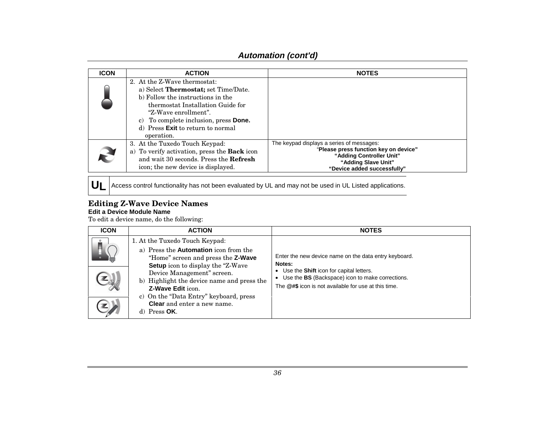| <b>ICON</b> | <b>ACTION</b>                                                                                                                                                                                                                                                                     | <b>NOTES</b>                                                                                                                                                         |
|-------------|-----------------------------------------------------------------------------------------------------------------------------------------------------------------------------------------------------------------------------------------------------------------------------------|----------------------------------------------------------------------------------------------------------------------------------------------------------------------|
|             | 2. At the Z-Wave thermostat:<br>a) Select <b>Thermostat</b> ; set Time/Date.<br>b) Follow the instructions in the<br>thermostat Installation Guide for<br>"Z-Wave enrollment".<br>c) To complete inclusion, press Done.<br>d) Press <b>Exit</b> to return to normal<br>operation. |                                                                                                                                                                      |
|             | 3. At the Tuxedo Touch Keypad:<br>a) To verify activation, press the Back icon<br>and wait 30 seconds. Press the <b>Refresh</b><br>icon; the new device is displayed.                                                                                                             | The keypad displays a series of messages:<br>"Please press function key on device"<br>"Adding Controller Unit"<br>"Adding Slave Unit"<br>"Device added successfully" |

 $\bm{\mathsf{U}}$  **Access control functionality has not been** evaluated by UL and may not be used in UL Listed applications.

#### **Editing Z-Wave Device Names Edit a Device Module Name**

To edit a device name, do the following:

| <b>ICON</b> | <b>ACTION</b>                                                                                                                                                                                                                                                                                                                                                               | <b>NOTES</b>                                                                                                                                                                                                               |
|-------------|-----------------------------------------------------------------------------------------------------------------------------------------------------------------------------------------------------------------------------------------------------------------------------------------------------------------------------------------------------------------------------|----------------------------------------------------------------------------------------------------------------------------------------------------------------------------------------------------------------------------|
|             | 1. At the Tuxedo Touch Keypad:<br>a) Press the <b>Automation</b> icon from the<br>"Home" screen and press the Z-Wave<br><b>Setup</b> icon to display the "Z-Wave"<br>Device Management" screen.<br>b) Highlight the device name and press the<br><b>Z-Wave Edit icon.</b><br>c) On the "Data Entry" keyboard, press<br><b>Clear</b> and enter a new name.<br>d) Press $OK.$ | Enter the new device name on the data entry keyboard.<br>Notes:<br>• Use the Shift icon for capital letters.<br>• Use the BS (Backspace) icon to make corrections.<br>The @#\$ icon is not available for use at this time. |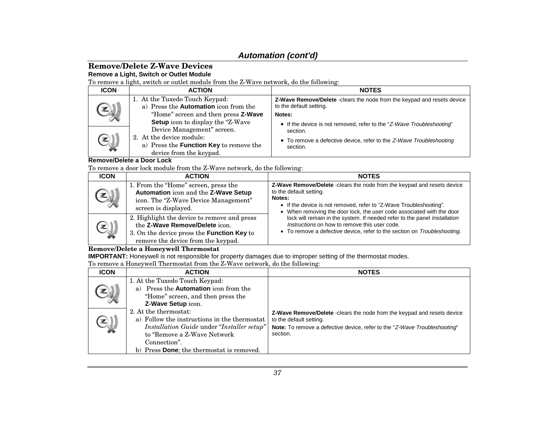#### **Remove/Delete Z-Wave Devices Remove a Light, Switch or Outlet Module**

To remove a light, switch or outlet module from the Z-Wave network, do the following:

| <b>ICON</b> | <b>ACTION</b>                                                                                                                       | <b>NOTES</b>                                                                                               |
|-------------|-------------------------------------------------------------------------------------------------------------------------------------|------------------------------------------------------------------------------------------------------------|
|             | 1. At the Tuxedo Touch Keypad:<br>a) Press the Automation icon from the                                                             | <b>Z-Wave Remove/Delete</b> - clears the node from the keypad and resets device<br>to the default setting. |
|             | "Home" screen and then press Z-Wave<br>Setup icon to display the "Z-Wave"                                                           | Notes:<br>• If the device is not removed, refer to the "Z-Wave Troubleshooting"                            |
|             | Device Management" screen.<br>2. At the device module:<br>a) Press the <b>Function Key</b> to remove the<br>device from the keypad. | section.<br>• To remove a defective device, refer to the Z-Wave Troubleshooting<br>section.                |

#### **Remove/Delete a Door Lock**

To remove a door lock module from the Z-Wave network, do the following:

| <b>ICON</b> | <b>ACTION</b>                                                                                                                                                     | <b>NOTES</b>                                                                                                                                                                                                                                                |
|-------------|-------------------------------------------------------------------------------------------------------------------------------------------------------------------|-------------------------------------------------------------------------------------------------------------------------------------------------------------------------------------------------------------------------------------------------------------|
|             | 1. From the "Home" screen, press the<br>Automation icon and the Z-Wave Setup<br>icon. The "Z-Wave Device Management"<br>screen is displayed.                      | Z-Wave Remove/Delete -clears the node from the keypad and resets device<br>to the default setting.<br>Notes:<br>• If the device is not removed, refer to "Z-Wave Troubleshooting".<br>• When removing the door lock, the user code associated with the door |
| بايك        | 2. Highlight the device to remove and press<br>the Z-Wave Remove/Delete icon.<br>3. On the device press the Function Key to<br>remove the device from the keypad. | lock will remain in the system. If needed refer to the panel Installation<br>Instructions on how to remove this user code.<br>• To remove a defective device, refer to the section on Troubleshooting.                                                      |

#### **Remove/Delete a Honeywell Thermostat**

**IMPORTANT:** Honeywell is not responsible for property damages due to improper setting of the thermostat modes.

To remove a Honeywell Thermostat from the Z-Wave network, do the following:

| <b>ICON</b> | <b>ACTION</b>                                                                                                                                                                                                    | <b>NOTES</b>                                                                                                                                                                                               |
|-------------|------------------------------------------------------------------------------------------------------------------------------------------------------------------------------------------------------------------|------------------------------------------------------------------------------------------------------------------------------------------------------------------------------------------------------------|
|             | 1. At the Tuxedo Touch Keypad:<br>a) Press the <b>Automation</b> icon from the<br>"Home" screen, and then press the<br>Z-Wave Setup icon.                                                                        |                                                                                                                                                                                                            |
|             | 2. At the thermostat:<br>a) Follow the instructions in the thermostat<br>Installation Guide under "Installer setup"<br>to "Remove a Z-Wave Network"<br>Connection".<br>b) Press Done; the thermostat is removed. | <b>Z-Wave Remove/Delete</b> - clears the node from the keypad and resets device<br>to the default setting.<br><b>Note:</b> To remove a defective device, refer to the "Z-Wave Troubleshooting"<br>section. |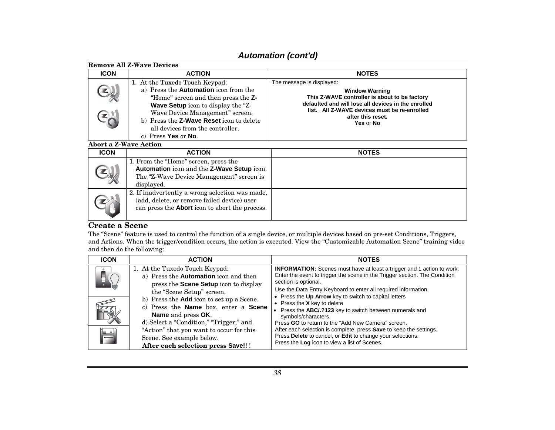|                              | <b>Remove All Z-Wave Devices</b>                                                                                                                                                                                                                                                                                    |                                                                                                                                                                                                                                              |
|------------------------------|---------------------------------------------------------------------------------------------------------------------------------------------------------------------------------------------------------------------------------------------------------------------------------------------------------------------|----------------------------------------------------------------------------------------------------------------------------------------------------------------------------------------------------------------------------------------------|
| <b>ICON</b>                  | <b>ACTION</b>                                                                                                                                                                                                                                                                                                       | <b>NOTES</b>                                                                                                                                                                                                                                 |
|                              | 1. At the Tuxedo Touch Keypad:<br>a) Press the <b>Automation</b> icon from the<br>"Home" screen and then press the Z-<br><b>Wave Setup</b> icon to display the "Z-<br>Wave Device Management" screen.<br>b) Press the <b>Z-Wave Reset</b> icon to delete<br>all devices from the controller.<br>c) Press Yes or No. | The message is displayed:<br><b>Window Warning</b><br>This Z-WAVE controller is about to be factory<br>defaulted and will lose all devices in the enrolled<br>list. All Z-WAVE devices must be re-enrolled<br>after this reset.<br>Yes or No |
| <b>Abort a Z-Wave Action</b> |                                                                                                                                                                                                                                                                                                                     |                                                                                                                                                                                                                                              |
| <b>ICON</b>                  | <b>ACTION</b>                                                                                                                                                                                                                                                                                                       | <b>NOTES</b>                                                                                                                                                                                                                                 |
|                              | 1. From the "Home" screen, press the<br>Automation icon and the Z-Wave Setup icon.<br>The "Z-Wave Device Management" screen is<br>displayed.                                                                                                                                                                        |                                                                                                                                                                                                                                              |
|                              | 2. If inadvertently a wrong selection was made,<br>(add, delete, or remove failed device) user<br>can press the <b>Abort</b> icon to abort the process.                                                                                                                                                             |                                                                                                                                                                                                                                              |

#### **Create a Scene**

The "Scene" feature is used to control the function of a single device, or multiple devices based on pre-set Conditions, Triggers, and Actions. When the trigger/condition occurs, the action is executed. View the "Customizable Automation Scene" training video and then do the following:

| <b>ICON</b> | <b>ACTION</b>                                                                                                                                                                                                                                                                                                                                                                      | <b>NOTES</b>                                                                                                                                                                                                                                                                                                                                                                                                                                                                                                                                                                                                                 |
|-------------|------------------------------------------------------------------------------------------------------------------------------------------------------------------------------------------------------------------------------------------------------------------------------------------------------------------------------------------------------------------------------------|------------------------------------------------------------------------------------------------------------------------------------------------------------------------------------------------------------------------------------------------------------------------------------------------------------------------------------------------------------------------------------------------------------------------------------------------------------------------------------------------------------------------------------------------------------------------------------------------------------------------------|
| 畳           | 1. At the Tuxedo Touch Keypad:<br>a) Press the Automation icon and then<br>press the Scene Setup icon to display<br>the "Scene Setup" screen.<br>b) Press the <b>Add</b> icon to set up a Scene.<br>c) Press the Name box, enter a Scene<br>Name and press OK.<br>d) Select a "Condition," "Trigger," and<br>"Action" that you want to occur for this<br>Scene. See example below. | <b>INFORMATION:</b> Scenes must have at least a trigger and 1 action to work.<br>Enter the event to trigger the scene in the Trigger section. The Condition<br>section is optional.<br>Use the Data Entry Keyboard to enter all required information.<br>• Press the Up Arrow key to switch to capital letters<br>• Press the $X$ key to delete<br>• Press the ABC/.?123 key to switch between numerals and<br>symbols/characters.<br>Press GO to return to the "Add New Camera" screen.<br>After each selection is complete, press Save to keep the settings.<br>Press Delete to cancel, or Edit to change your selections. |
|             | After each selection press Save!! !                                                                                                                                                                                                                                                                                                                                                | Press the Log icon to view a list of Scenes.                                                                                                                                                                                                                                                                                                                                                                                                                                                                                                                                                                                 |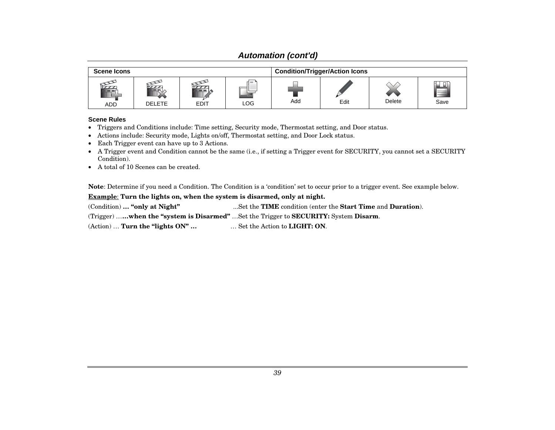| <b>Scene Icons</b>   |               |             |                                                                                                                                                                                                                                                                                                                                                                                                                                                                                                                                                                                                                                                                                                                                                                                                                                                                                                                                                                                        |     | <b>Condition/Trigger/Action Icons</b> |        |           |
|----------------------|---------------|-------------|----------------------------------------------------------------------------------------------------------------------------------------------------------------------------------------------------------------------------------------------------------------------------------------------------------------------------------------------------------------------------------------------------------------------------------------------------------------------------------------------------------------------------------------------------------------------------------------------------------------------------------------------------------------------------------------------------------------------------------------------------------------------------------------------------------------------------------------------------------------------------------------------------------------------------------------------------------------------------------------|-----|---------------------------------------|--------|-----------|
| $\tau$<br><b>ADD</b> | <b>DELETE</b> | <b>EDIT</b> | d = 1<br>$\frac{1}{2} \left( \frac{1}{2} \right) \left( \frac{1}{2} \right) \left( \frac{1}{2} \right) \left( \frac{1}{2} \right) \left( \frac{1}{2} \right) \left( \frac{1}{2} \right) \left( \frac{1}{2} \right) \left( \frac{1}{2} \right) \left( \frac{1}{2} \right) \left( \frac{1}{2} \right) \left( \frac{1}{2} \right) \left( \frac{1}{2} \right) \left( \frac{1}{2} \right) \left( \frac{1}{2} \right) \left( \frac{1}{2} \right) \left( \frac{1}{2} \right) \left( \frac$<br>$\frac{1}{2} \left( \frac{1}{2} \right) \left( \frac{1}{2} \right) \left( \frac{1}{2} \right) \left( \frac{1}{2} \right) \left( \frac{1}{2} \right) \left( \frac{1}{2} \right) \left( \frac{1}{2} \right) \left( \frac{1}{2} \right) \left( \frac{1}{2} \right) \left( \frac{1}{2} \right) \left( \frac{1}{2} \right) \left( \frac{1}{2} \right) \left( \frac{1}{2} \right) \left( \frac{1}{2} \right) \left( \frac{1}{2} \right) \left( \frac{1}{2} \right) \left( \frac$<br>___<br>$-$<br>LOG | Add | Edit                                  | Delete | П<br>Save |

#### **Scene Rules**

- Triggers and Conditions include: Time setting, Security mode, Thermostat setting, and Door status.
- Actions include: Security mode, Lights on/off, Thermostat setting, and Door Lock status.
- Each Trigger event can have up to 3 Actions.
- A Trigger event and Condition cannot be the same (i.e., if setting a Trigger event for SECURITY, you cannot set a SECURITY Condition).
- A total of 10 Scenes can be created.

**Note**: Determine if you need a Condition. The Condition is a 'condition' set to occur prior to a trigger event. See example below.

**Example**: **Turn the lights on, when the system is disarmed, only at night.**

(Condition) **… "only at Night"** ...Set the **TIME** condition (enter the **Start Time** and **Duration**).

(Trigger) …**…when the "system is Disarmed"** …Set the Trigger to **SECURITY:** System **Disarm**.

(Action) … **Turn the "lights ON" …** … Set the Action to **LIGHT: ON**.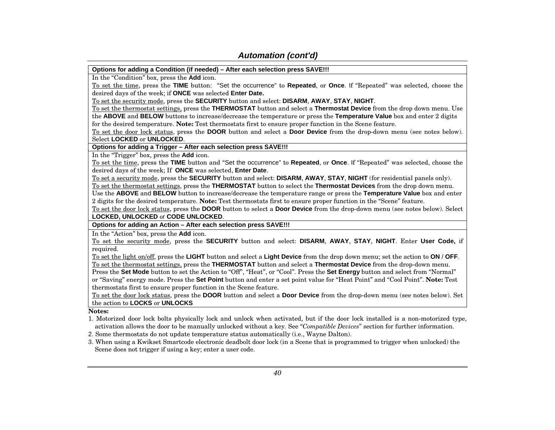**Options for adding a Condition (if needed) – After each selection press SAVE!!!** 

In the "Condition" box, press the **Add** icon.

To set the time, press the **TIME** button: "Set the occurrence" to **Repeated**, or **Once**. If "Repeated" was selected, choose the desired days of the week; if **ONCE** was selected **Enter Date.**

To set the security mode, press the **SECURITY** button and select: **DISARM**, **AWAY**, **STAY**, **NIGHT**.

To set the thermostat settings, press the **THERMOSTAT** button and select a **Thermostat Device** from the drop down menu. Use the **ABOVE** and **BELOW** buttons to increase/decrease the temperature or press the **Temperature Value** box and enter 2 digits for the desired temperature. **Note:** Test thermostats first to ensure proper function in the Scene feature.

To set the door lock status, press the **DOOR** button and select a **Door Device** from the drop-down menu (see notes below). Select **LOCKED** or **UNLOCKED**.

**Options for adding a Trigger – After each selection press SAVE!!!**

In the "Trigger" box, press the **Add** icon.

To set the time, press the **TIME** button and "Set the occurrence" to **Repeated**, or **Once**. If "Repeated" was selected, choose the desired days of the week; If **ONCE** was selected, **Enter Date**.

To set a security mode, press the **SECURITY** button and select: **DISARM**, **AWAY**, **STAY**, **NIGHT** (for residential panels only).

To set the thermostat settings, press the **THERMOSTAT** button to select the **Thermostat Devices** from the drop down menu.

Use the **ABOVE** and **BELOW** button to increase/decrease the temperature range or press the **Temperature Value** box and enter 2 digits for the desired temperature. **Note:** Test thermostats first to ensure proper function in the "Scene" feature.

To set the door lock status, press the **DOOR** button to select a **Door Device** from the drop-down menu (see notes below). Select **LOCKED, UNLOCKED** or **CODE UNLOCKED**.

**Options for adding an Action – After each selection press SAVE!!!** 

In the "Action" box, press the **Add** icon.

To set the security mode, press the **SECURITY** button and select: **DISARM**, **AWAY**, **STAY**, **NIGHT**. Enter **User Code,** if required.

To set the light on/off, press the **LIGHT** button and select a **Light Device** from the drop down menu; set the action to **ON** / **OFF**. To set the thermostat settings, press the **THERMOSTAT** button and select a **Thermostat Device** from the drop-down menu.

Press the **Set Mode** button to set the Action to "Off", "Heat", or "Cool". Press the **Set Energy** button and select from "Normal" or "Saving" energy mode. Press the **Set Point** button and enter a set point value for "Heat Point" and "Cool Point". **Note:** Test thermostats first to ensure proper function in the Scene feature.

To set the door lock status, press the **DOOR** button and select a **Door Device** from the drop-down menu (see notes below). Set the action to **LOCKS** or **UNLOCKS**

**Notes:**

1. Motorized door lock bolts physically lock and unlock when activated, but if the door lock installed is a non-motorized type, activation allows the door to be manually unlocked without a key. See "*Compatible Devices*" section for further information.

2. Some thermostats do not update temperature status automatically (i.e., Wayne Dalton).

3. When using a Kwikset Smartcode electronic deadbolt door lock (in a Scene that is programmed to trigger when unlocked) the Scene does not trigger if using a key; enter a user code.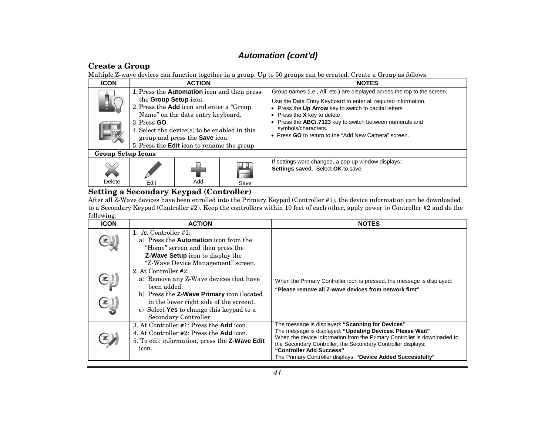### **Create a Group**

Multiple Z-wave devices can function together in a group. Up to 50 groups can be created. Create a Group as follows:

| <b>ICON</b>              | <b>ACTION</b>                                                                                                                                                                                                                             |     |           | <b>NOTES</b>                                                                                                                                                                                                                                                                                                           |
|--------------------------|-------------------------------------------------------------------------------------------------------------------------------------------------------------------------------------------------------------------------------------------|-----|-----------|------------------------------------------------------------------------------------------------------------------------------------------------------------------------------------------------------------------------------------------------------------------------------------------------------------------------|
|                          | 1. Press the <b>Automation</b> icon and then press<br>the Group Setup icon.<br>2. Press the Add icon and enter a "Group"<br>Name" on the data entry keyboard.<br>$3.$ Press $GO$ .<br>4. Select the device(s) to be enabled in this<br>13 |     |           | Group names (i.e., All, etc.) are displayed across the top to the screen.<br>Use the Data Entry Keyboard to enter all required information.<br>• Press the Up Arrow key to switch to capital letters<br>• Press the $X$ key to delete<br>Press the ABC/.?123 key to switch between numerals and<br>symbols/characters. |
|                          | group and press the <b>Save</b> icon.<br>5. Press the <b>Edit</b> icon to rename the group.                                                                                                                                               |     |           | • Press GO to return to the "Add New Camera" screen.                                                                                                                                                                                                                                                                   |
| <b>Group Setup Icons</b> |                                                                                                                                                                                                                                           |     |           |                                                                                                                                                                                                                                                                                                                        |
| Delete                   | Edit                                                                                                                                                                                                                                      | Add | Ë<br>Save | If settings were changed, a pop-up window displays:<br>Settings saved. Select OK to save.                                                                                                                                                                                                                              |

## **Setting a Secondary Keypad (Controller)**

After all Z-Wave devices have been enrolled into the Primary Keypad (Controller #1), the device information can be downloaded to a Secondary Keypad (Controller #2). Keep the controllers within 10 feet of each other, apply power to Controller #2 and do the following:

| <b>ICON</b> | <b>ACTION</b>                                                                                                                                                                                                                                      | <b>NOTES</b>                                                                                                                                                                                                                                                                                                                                          |
|-------------|----------------------------------------------------------------------------------------------------------------------------------------------------------------------------------------------------------------------------------------------------|-------------------------------------------------------------------------------------------------------------------------------------------------------------------------------------------------------------------------------------------------------------------------------------------------------------------------------------------------------|
|             | 1. At Controller #1:<br>a) Press the <b>Automation</b> icon from the<br>"Home" screen and then press the<br><b>Z-Wave Setup</b> icon to display the<br>"Z-Wave Device Management" screen.                                                          |                                                                                                                                                                                                                                                                                                                                                       |
|             | 2. At Controller #2:<br>a) Remove any Z-Wave devices that have<br>been added.<br>b) Press the <b>Z-Wave Primary</b> icon (located)<br>in the lower right side of the screen).<br>c) Select Yes to change this keypad to a<br>Secondary Controller. | When the Primary Controller icon is pressed, the message is displayed:<br>"Please remove all Z-wave devices from network first"                                                                                                                                                                                                                       |
|             | 3. At Controller #1: Press the <b>Add</b> icon.<br>4. At Controller #2: Press the <b>Add</b> icon.<br>5. To edit information, press the <b>Z-Wave Edit</b><br>icon.                                                                                | The message is displayed: "Scanning for Devices"<br>The message is displayed: "Updating Devices. Please Wait"<br>When the device information from the Primary Controller is downloaded to<br>the Secondary Controller, the Secondary Controller displays:<br>"Controller Add Success"<br>The Primary Controller displays: "Device Added Successfully" |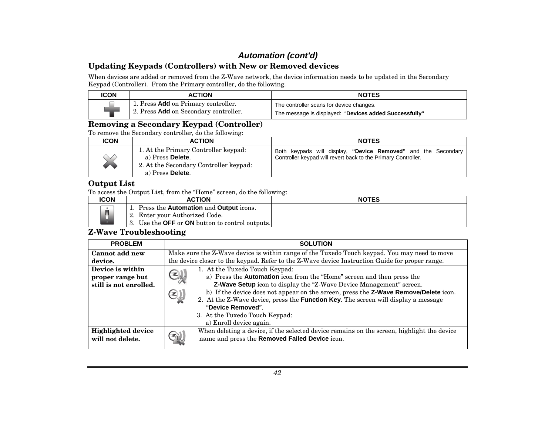### **Updating Keypads (Controllers) with New or Removed devices**

When devices are added or removed from the Z-Wave network, the device information needs to be updated in the Secondary Keypad (Controller). From the Primary controller, do the following.

| <b>ICON</b> | <b>ACTION</b>                                                                | <b>NOTES</b>                                                                                       |
|-------------|------------------------------------------------------------------------------|----------------------------------------------------------------------------------------------------|
|             | 1. Press Add on Primary controller.<br>2. Press Add on Secondary controller. | The controller scans for device changes.<br>The message is displayed: "Devices added Successfully" |

### **Removing a Secondary Keypad (Controller)**

To remove the Secondary controller, do the following:

| <b>ICON</b>          | <b>ACTION</b>                                                                                                          | <b>NOTES</b>                                                                                                                   |
|----------------------|------------------------------------------------------------------------------------------------------------------------|--------------------------------------------------------------------------------------------------------------------------------|
| <b>Albert Street</b> | 1. At the Primary Controller keypad:<br>a) Press Delete.<br>2. At the Secondary Controller keypad:<br>a) Press Delete. | Both keypads will display, "Device Removed" and the Secondary<br>Controller keypad will revert back to the Primary Controller. |

#### **Output List**

To access the Output List, from the "Home" screen, do the following:

| ICON | <b>ACTION</b>                                                                                   | <b>NOTES</b> |
|------|-------------------------------------------------------------------------------------------------|--------------|
|      | 1. Press the <b>Automation</b> and <b>Output</b> icons.                                         |              |
|      | 2. Enter your Authorized Code.<br>3. Use the <b>OFF</b> or <b>ON</b> button to control outputs. |              |

### **Z-Wave Troubleshooting**

| <b>PROBLEM</b>            | <b>SOLUTION</b>                                                                                                         |
|---------------------------|-------------------------------------------------------------------------------------------------------------------------|
| Cannot add new            | Make sure the Z-Wave device is within range of the Tuxedo Touch keypad. You may need to move                            |
| device.                   | the device closer to the keypad. Refer to the Z-Wave device Instruction Guide for proper range.                         |
| Device is within          | 1. At the Tuxedo Touch Keypad:                                                                                          |
| proper range but          | $\mathbf{F}$<br>a) Press the Automation icon from the "Home" screen and then press the                                  |
| still is not enrolled.    | Z-Wave Setup icon to display the "Z-Wave Device Management" screen.                                                     |
|                           | b) If the device does not appear on the screen, press the <b>Z-Wave Remove/Delete</b> icon.<br>$(\mathbf{\widehat{z}})$ |
|                           | 2. At the Z-Wave device, press the <b>Function Key</b> . The screen will display a message                              |
|                           | "Device Removed".                                                                                                       |
|                           | 3. At the Tuxedo Touch Keypad:                                                                                          |
|                           | a) Enroll device again.                                                                                                 |
| <b>Highlighted device</b> | When deleting a device, if the selected device remains on the screen, highlight the device                              |
| will not delete.          | name and press the Removed Failed Device icon.                                                                          |
|                           |                                                                                                                         |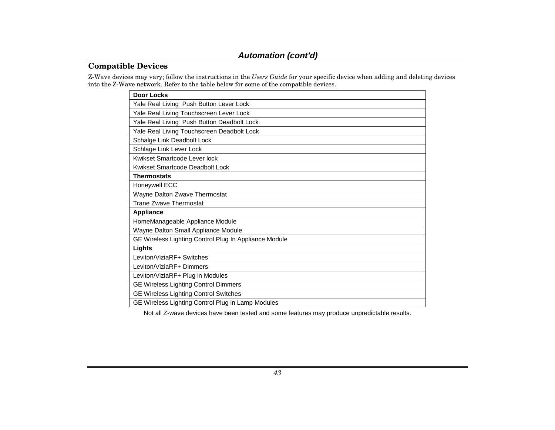### **Compatible Devices**

Z-Wave devices may vary; follow the instructions in the *Users Guide* for your specific device when adding and deleting devices into the Z-Wave network. Refer to the table below for some of the compatible devices.

| Door Locks                                            |
|-------------------------------------------------------|
| Yale Real Living Push Button Lever Lock               |
| Yale Real Living Touchscreen Lever Lock               |
| Yale Real Living Push Button Deadbolt Lock            |
| Yale Real Living Touchscreen Deadbolt Lock            |
| Schalge Link Deadbolt Lock                            |
| Schlage Link Lever Lock                               |
| Kwikset Smartcode Lever lock                          |
| Kwikset Smartcode Deadbolt Lock                       |
| <b>Thermostats</b>                                    |
| Honeywell ECC                                         |
| Wayne Dalton Zwave Thermostat                         |
| <b>Trane Zwave Thermostat</b>                         |
| <b>Appliance</b>                                      |
| HomeManageable Appliance Module                       |
| Wayne Dalton Small Appliance Module                   |
| GE Wireless Lighting Control Plug In Appliance Module |
| Lights                                                |
| Leviton/ViziaRF+ Switches                             |
| Leviton/ViziaRF+ Dimmers                              |
| Leviton/ViziaRF+ Plug in Modules                      |
| <b>GE Wireless Lighting Control Dimmers</b>           |
| <b>GE Wireless Lighting Control Switches</b>          |
| GE Wireless Lighting Control Plug in Lamp Modules     |

Not all Z-wave devices have been tested and some features may produce unpredictable results.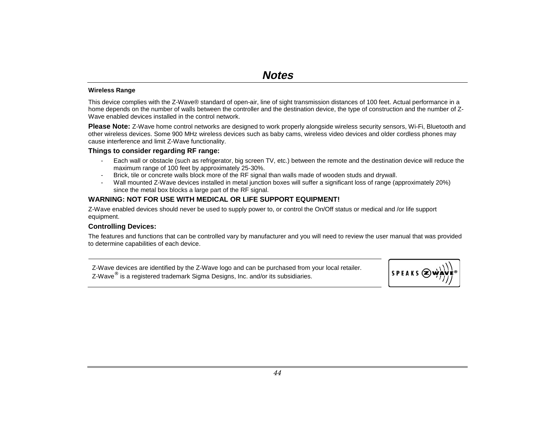#### **Wireless Range**

This device complies with the Z-Wave® standard of open-air, line of sight transmission distances of 100 feet. Actual performance in a home depends on the number of walls between the controller and the destination device, the type of construction and the number of Z-Wave enabled devices installed in the control network.

**Please Note:** Z-Wave home control networks are designed to work properly alongside wireless security sensors, Wi-Fi, Bluetooth and other wireless devices. Some 900 MHz wireless devices such as baby cams, wireless video devices and older cordless phones may cause interference and limit Z-Wave functionality.

#### **Things to consider regarding RF range:**

- Each wall or obstacle (such as refrigerator, big screen TV, etc.) between the remote and the destination device will reduce the maximum range of 100 feet by approximately 25-30%.
- Brick, tile or concrete walls block more of the RF signal than walls made of wooden studs and drywall.
- Wall mounted Z-Wave devices installed in metal junction boxes will suffer a significant loss of range (approximately 20%) since the metal box blocks a large part of the RF signal.

#### **WARNING: NOT FOR USE WITH MEDICAL OR LIFE SUPPORT EQUIPMENT!**

Z-Wave enabled devices should never be used to supply power to, or control the On/Off status or medical and /or life support equipment.

#### **Controlling Devices:**

The features and functions that can be controlled vary by manufacturer and you will need to review the user manual that was provided to determine capabilities of each device.

Z-Wave devices are identified by the Z-Wave logo and can be purchased from your local retailer. Z-Wave® is a registered trademark Sigma Designs, Inc. and/or its subsidiaries.

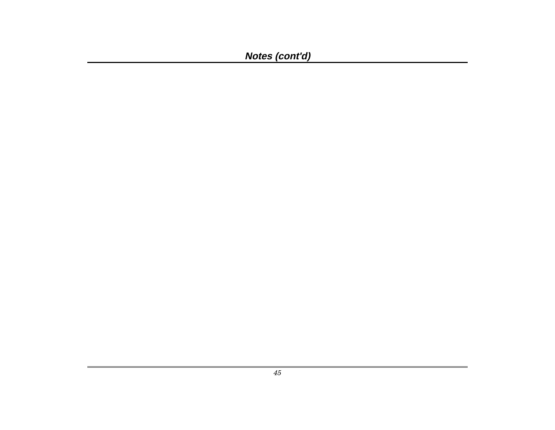**Notes (cont'd)**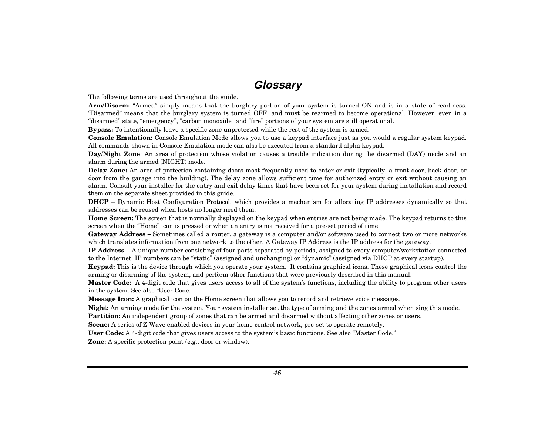### **Glossary**

The following terms are used throughout the guide.

**Arm/Disarm:** "Armed" simply means that the burglary portion of your system is turned ON and is in a state of readiness. "Disarmed" means that the burglary system is turned OFF, and must be rearmed to become operational. However, even in a "disarmed" state, "emergency", "carbon monoxide" and "fire" portions of your system are still operational.

**Bypass:** To intentionally leave a specific zone unprotected while the rest of the system is armed.

**Console Emulation:** Console Emulation Mode allows you to use a keypad interface just as you would a regular system keypad. All commands shown in Console Emulation mode can also be executed from a standard alpha keypad.

**Day/Night Zone**: An area of protection whose violation causes a trouble indication during the disarmed (DAY) mode and an alarm during the armed (NIGHT) mode.

**Delay Zone:** An area of protection containing doors most frequently used to enter or exit (typically, a front door, back door, or door from the garage into the building). The delay zone allows sufficient time for authorized entry or exit without causing an alarm. Consult your installer for the entry and exit delay times that have been set for your system during installation and record them on the separate sheet provided in this guide.

**DHCP** – Dynamic Host Configuration Protocol, which provides a mechanism for allocating IP addresses dynamically so that addresses can be reused when hosts no longer need them.

**Home Screen:** The screen that is normally displayed on the keypad when entries are not being made. The keypad returns to this screen when the "Home" icon is pressed or when an entry is not received for a pre-set period of time.

**Gateway Address –** Sometimes called a router, a gateway is a computer and/or software used to connect two or more networks which translates information from one network to the other. A Gateway IP Address is the IP address for the gateway.

**IP Address** – A unique number consisting of four parts separated by periods, assigned to every computer/workstation connected to the Internet. IP numbers can be "static" (assigned and unchanging) or "dynamic" (assigned via DHCP at every startup).

**Keypad:** This is the device through which you operate your system. It contains graphical icons. These graphical icons control the arming or disarming of the system, and perform other functions that were previously described in this manual.

**Master Code:** A 4-digit code that gives users access to all of the system's functions, including the ability to program other users in the system. See also "User Code.

**Message Icon:** A graphical icon on the Home screen that allows you to record and retrieve voice messages.

**Night:** An arming mode for the system. Your system installer set the type of arming and the zones armed when sing this mode.

**Partition:** An independent group of zones that can be armed and disarmed without affecting other zones or users.

**Scene:** A series of Z-Wave enabled devices in your home-control network, pre-set to operate remotely.

**User Code:** A 4-digit code that gives users access to the system's basic functions. See also "Master Code."

**Zone:** A specific protection point (e.g., door or window).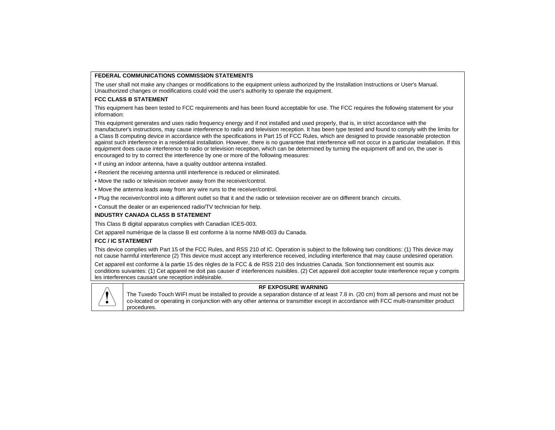#### **FEDERAL COMMUNICATIONS COMMISSION STATEMENTS**

The user shall not make any changes or modifications to the equipment unless authorized by the Installation Instructions or User's Manual. Unauthorized changes or modifications could void the user's authority to operate the equipment.

#### **FCC CLASS B STATEMENT**

This equipment has been tested to FCC requirements and has been found acceptable for use. The FCC requires the following statement for your information:

This equipment generates and uses radio frequency energy and if not installed and used properly, that is, in strict accordance with the manufacturer's instructions, may cause interference to radio and television reception. It has been type tested and found to comply with the limits for a Class B computing device in accordance with the specifications in Part 15 of FCC Rules, which are designed to provide reasonable protection against such interference in a residential installation. However, there is no guarantee that interference will not occur in a particular installation. If this equipment does cause interference to radio or television reception, which can be determined by turning the equipment off and on, the user is encouraged to try to correct the interference by one or more of the following measures:

- If using an indoor antenna, have a quality outdoor antenna installed.
- Reorient the receiving antenna until interference is reduced or eliminated.
- Move the radio or television receiver away from the receiver/control.
- Move the antenna leads away from any wire runs to the receiver/control.
- Plug the receiver/control into a different outlet so that it and the radio or television receiver are on different branch circuits.
- Consult the dealer or an experienced radio/TV technician for help.

#### **INDUSTRY CANADA CLASS B STATEMENT**

This Class B digital apparatus complies with Canadian ICES-003.

Cet appareil numérique de la classe B est conforme à la norme NMB-003 du Canada.

#### **FCC / IC STATEMENT**

This device complies with Part 15 of the FCC Rules, and RSS 210 of IC. Operation is subject to the following two conditions: (1) This device may not cause harmful interference (2) This device must accept any interference received, including interference that may cause undesired operation.

Cet appareil est conforme à la partie 15 des règles de la FCC & de RSS 210 des Industries Canada. Son fonctionnement est soumis aux conditions suivantes: (1) Cet appareil ne doit pas causer d' interferences nuisibles. (2) Cet appareil doit accepter toute interference reçue y compris les interferences causant une reception indésirable.



#### **RF EXPOSURE WARNING**

The Tuxedo Touch WIFI must be installed to provide a separation distance of at least 7.8 in. (20 cm) from all persons and must not be co-located or operating in conjunction with any other antenna or transmitter except in accordance with FCC multi-transmitter product procedures.